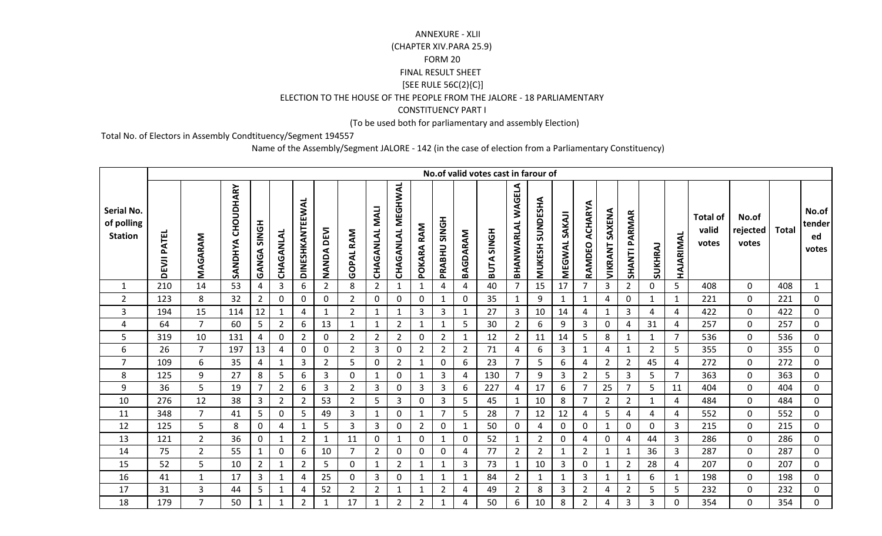## (CHAPTER XIV.PARA 25.9) FORM 20 FINAL RESULT SHEET $[SEE \space RULE \space 56C(2)\{C\}]$  ELECTION TO THE HOUSE OF THE PEOPLE FROM THE JALORE - 18 PARLIAMENTARY CONSTITUENCY PART IANNEXURE - XLII

(To be used both for parliamentary and assembly Election)

Total No. of Electors in Assembly Condtituency/Segment 194557

Name of the Assembly/Segment JALORE - 142 (in the case of election from a Parliamentary Constituency)

|                                            |                    |                |                      |                    |                |                 |                |                  |                       |                          |                |                        |                | No.of valid votes cast in farour of |                   |                           |              |                          |                   |                      |                |                |                                   |                            |              |                                |
|--------------------------------------------|--------------------|----------------|----------------------|--------------------|----------------|-----------------|----------------|------------------|-----------------------|--------------------------|----------------|------------------------|----------------|-------------------------------------|-------------------|---------------------------|--------------|--------------------------|-------------------|----------------------|----------------|----------------|-----------------------------------|----------------------------|--------------|--------------------------------|
| Serial No.<br>of polling<br><b>Station</b> | <b>DEVJI PATEL</b> | MAGARAM        | CHOUDHARY<br>SANDHYA | <b>HONS AGNAGH</b> | CHAGANLAL      | DINESHKANTEEWAL | NANDA DEVI     | <b>GOPAL RAM</b> | <b>CHAGANLAL MALI</b> | <b>CHAGANLAL MEGHWAL</b> | RAM<br>POKARA  | <b>SINGH</b><br>PRABHU | BAGDARAM       | <b>HONIS ATUSH</b>                  | BHANWARLAL WAGELA | SUNDESHA<br><b>MUKESH</b> | MEGWAL SAKAJ | <b>ACHARYA</b><br>RAMDEO | SAXENA<br>VIKRANT | <b>SHANTI PARMAR</b> | SUKHRAJ        | HAJARIMAL      | <b>Total of</b><br>valid<br>votes | No.of<br>rejected<br>votes | <b>Total</b> | No.of<br>tender<br>ed<br>votes |
| $\mathbf{1}$                               | 210                | 14             | 53                   | 4                  | $\overline{3}$ | 6               | $\overline{2}$ | 8                | $\overline{2}$        | $\mathbf{1}$             | $\mathbf{1}$   | 4                      | $\overline{a}$ | 40                                  | $\overline{7}$    | 15                        | 17           | $\overline{7}$           | 3                 | $\overline{2}$       | $\mathbf 0$    | 5 <sup>1</sup> | 408                               | $\mathbf 0$                | 408          | $\mathbf{1}$                   |
| $\overline{2}$                             | 123                | 8              | 32                   | $\overline{2}$     | $\mathbf 0$    | 0               | 0              | $\overline{2}$   | $\mathbf 0$           | $\mathbf 0$              | $\mathbf 0$    | 1                      | $\mathbf 0$    | 35                                  | $\mathbf{1}$      | 9                         | $\mathbf{1}$ | $\mathbf{1}$             | 4                 | $\mathbf 0$          | $\mathbf{1}$   | $\mathbf{1}$   | 221                               | $\mathbf 0$                | 221          | $\mathbf 0$                    |
| 3                                          | 194                | 15             | 114                  | 12                 | $\mathbf{1}$   | 4               | $\mathbf{1}$   | $\overline{2}$   | $\mathbf{1}$          | $\mathbf{1}$             | 3              | $\mathbf{3}$           | $\mathbf{1}$   | 27                                  | $\mathbf{3}$      | 10                        | 14           | 4                        | $\mathbf{1}$      | 3                    | $\overline{4}$ | 4              | 422                               | $\mathbf 0$                | 422          | $\mathbf{0}$                   |
| 4                                          | 64                 | $\overline{7}$ | 60                   | 5                  | $\overline{2}$ | 6               | 13             | $\mathbf{1}$     | $\mathbf{1}$          | $\overline{2}$           | 1              | 1                      | 5              | 30                                  | $\overline{2}$    | 6                         | 9            | 3                        | 0                 | 4                    | 31             | 4              | 257                               | $\mathbf 0$                | 257          | $\mathbf{0}$                   |
| 5                                          | 319                | 10             | 131                  | 4                  | $\mathbf 0$    | $\overline{2}$  | 0              | $\overline{2}$   | $\overline{2}$        | $\overline{2}$           | 0              | $\overline{2}$         | $\mathbf{1}$   | 12                                  | $\overline{2}$    | 11                        | 14           | 5                        | 8                 | $\mathbf 1$          | $\mathbf{1}$   | $\overline{7}$ | 536                               | $\mathbf 0$                | 536          | $\mathbf{0}$                   |
| 6                                          | 26                 | $\overline{7}$ | 197                  | 13                 | 4              | $\mathbf 0$     | $\mathbf 0$    | $\overline{2}$   | 3                     | $\mathbf 0$              | $\overline{2}$ | $\overline{2}$         | $\overline{2}$ | 71                                  | 4                 | 6                         | 3            | 1                        | 4                 | $\mathbf{1}$         | $\overline{2}$ | 5              | 355                               | $\mathbf 0$                | 355          | $\overline{0}$                 |
| $\overline{7}$                             | 109                | 6              | 35                   | 4                  | $\mathbf{1}$   | 3               | $\overline{2}$ | 5                | $\mathbf 0$           | $\overline{2}$           | 1              | 0                      | 6              | 23                                  | $\overline{7}$    | 5                         | 6            | $\overline{4}$           | $\overline{2}$    | $\overline{2}$       | 45             | 4              | 272                               | $\mathbf 0$                | 272          | 0                              |
| 8                                          | 125                | 9              | 27                   | 8                  | 5              | 6               | 3              | 0                | $\mathbf{1}$          | $\mathbf 0$              | 1              | 3                      | 4              | 130                                 | 7                 | 9                         | 3            | $\overline{2}$           | 5                 | 3                    | 5              | 7              | 363                               | $\mathbf 0$                | 363          | $\mathbf{0}$                   |
| 9                                          | 36                 | 5              | 19                   | $\overline{7}$     | $\overline{2}$ | 6               | 3              | $\overline{2}$   | 3                     | $\mathbf 0$              | 3              | 3                      | 6              | 227                                 | $\overline{4}$    | 17                        | 6            | $\overline{7}$           | 25                | $\overline{7}$       | 5              | 11             | 404                               | $\mathbf 0$                | 404          | 0                              |
| 10                                         | 276                | 12             | 38                   | 3                  | $\overline{2}$ | $\overline{2}$  | 53             | $\overline{2}$   | 5                     | $\overline{3}$           | 0              | 3                      | 5              | 45                                  | $\mathbf{1}$      | 10                        | 8            | $\overline{7}$           | $\overline{2}$    | $\overline{2}$       | $\mathbf{1}$   | 4              | 484                               | $\pmb{0}$                  | 484          | $\mathbf 0$                    |
| 11                                         | 348                | $\overline{7}$ | 41                   | 5                  | $\mathbf 0$    | 5               | 49             | $\overline{3}$   | $\mathbf{1}$          | $\mathbf 0$              | $\mathbf{1}$   | $\overline{7}$         | 5              | 28                                  | $\overline{7}$    | 12                        | 12           | 4                        | 5                 | 4                    | $\overline{4}$ | 4              | 552                               | $\mathbf 0$                | 552          | $\overline{0}$                 |
| 12                                         | 125                | 5              | 8                    | 0                  | 4              |                 | 5              | 3                | 3                     | 0                        | $\overline{2}$ | 0                      | $\mathbf{1}$   | 50                                  | $\mathbf 0$       | 4                         | 0            | $\mathbf 0$              | 1                 | $\mathbf 0$          | $\Omega$       | 3              | 215                               | $\mathbf 0$                | 215          | $\mathbf{0}$                   |
| 13                                         | 121                | $\overline{2}$ | 36                   | $\mathbf{0}$       | $\mathbf{1}$   | $\overline{2}$  | 1              | 11               | 0                     | 1                        | $\mathbf{0}$   | $\mathbf{1}$           | $\mathbf 0$    | 52                                  | $\mathbf{1}$      | $\overline{2}$            | 0            | 4                        | $\mathbf{0}$      | 4                    | 44             | 3              | 286                               | $\mathbf 0$                | 286          | $\overline{0}$                 |
| 14                                         | 75                 | $\overline{2}$ | 55                   | $\mathbf{1}$       | $\mathbf 0$    | 6               | 10             | $\overline{7}$   | $\overline{2}$        | $\mathbf 0$              | 0              | 0                      | $\overline{a}$ | 77                                  | $\overline{2}$    | $\overline{2}$            | $\mathbf{1}$ | $\overline{2}$           | 1                 |                      | 36             | $\mathbf{3}$   | 287                               | $\mathbf 0$                | 287          | $\mathbf{0}$                   |
| 15                                         | 52                 | 5              | 10                   | $\overline{2}$     | $\mathbf{1}$   | $\overline{2}$  | 5              | $\mathbf 0$      | $\mathbf{1}$          | $\overline{2}$           | 1              | $\mathbf{1}$           | $\overline{3}$ | 73                                  | $\mathbf{1}$      | 10                        | 3            | $\mathbf 0$              | 1                 | $\overline{2}$       | 28             | 4              | 207                               | $\mathbf 0$                | 207          | $\mathbf 0$                    |
| 16                                         | 41                 | $\mathbf{1}$   | 17                   | 3                  | $\mathbf{1}$   | 4               | 25             | 0                | $\mathbf{3}$          | $\mathbf 0$              | 1              | $\mathbf{1}$           | $\mathbf{1}$   | 84                                  | $\overline{2}$    | $\mathbf{1}$              | $\mathbf{1}$ | $\overline{3}$           | 1                 | 1                    | 6              | $\mathbf{1}$   | 198                               | $\mathbf 0$                | 198          | $\mathbf{0}$                   |
| 17                                         | 31                 | 3              | 44                   | 5                  | 1              | 4               | 52             | $\overline{2}$   | $\overline{2}$        | $\mathbf{1}$             | 1              | $\overline{2}$         | 4              | 49                                  | $\overline{2}$    | 8                         | 3            | $\overline{2}$           | 4                 | $\overline{2}$       | 5              | 5              | 232                               | $\mathbf 0$                | 232          | $\mathbf{0}$                   |
| 18                                         | 179                | $\overline{7}$ | 50                   | $\mathbf{1}$       | $\mathbf{1}$   | $\overline{2}$  | $\mathbf{1}$   | 17               | $\mathbf{1}$          | $\overline{2}$           | $\overline{2}$ | 1                      | 4              | 50                                  | 6                 | 10                        | 8            | $\overline{2}$           | 4                 | 3                    | 3              | 0              | 354                               | $\mathbf 0$                | 354          | 0                              |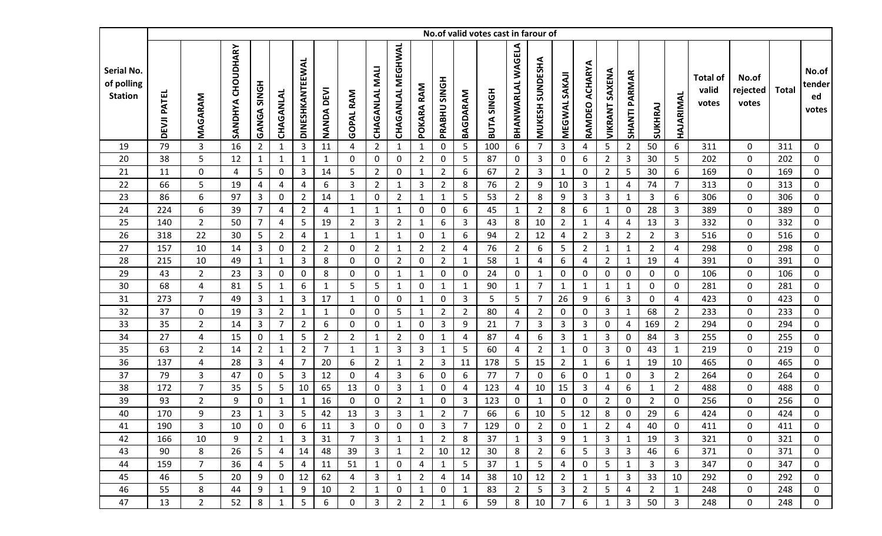|                                            |                    |                |                      |                    |                |                 |                |                  |                |                          |                |                     |                | No.of valid votes cast in farour of |                          |                 |                  |                   |                       |                      |                |                  |                                   |                            |              |                                |
|--------------------------------------------|--------------------|----------------|----------------------|--------------------|----------------|-----------------|----------------|------------------|----------------|--------------------------|----------------|---------------------|----------------|-------------------------------------|--------------------------|-----------------|------------------|-------------------|-----------------------|----------------------|----------------|------------------|-----------------------------------|----------------------------|--------------|--------------------------------|
| Serial No.<br>of polling<br><b>Station</b> | <b>DEVJI PATEL</b> | MAGARAM        | CHOUDHARY<br>SANDHYA | <b>HONS AGNAGH</b> | CHAGANLAL      | DINESHKANTEEWAL | NANDA DEVI     | <b>GOPAL RAM</b> | CHAGANLAL MALI | <b>CHAGANLAL MEGHWAL</b> | POKARA RAM     | <b>PRABHU SINGH</b> | BAGDARAM       | <b>HONIS ATUA</b>                   | <b>BHANWARLAL WAGELA</b> | MUKESH SUNDESHA | MEGWAL SAKAI     | ACHARYA<br>RAMDEO | <b>VIKRANT SAXENA</b> | <b>SHANTI PARMAR</b> | SUKHRAJ        | HAJARIMAL        | <b>Total of</b><br>valid<br>votes | No.of<br>rejected<br>votes | <b>Total</b> | No.of<br>tender<br>ed<br>votes |
| 19                                         | 79                 | 3              | 16                   | $\overline{2}$     | 1              | 3               | 11             | 4                | $\overline{2}$ | $\mathbf{1}$             | $\mathbf{1}$   | 0                   | 5              | 100                                 | 6                        | $\overline{7}$  | 3                | 4                 | 5                     | $2^{\circ}$          | 50             | 6                | 311                               | $\mathbf 0$                | 311          | 0                              |
| 20                                         | 38                 | 5              | 12                   | $\mathbf{1}$       | $\mathbf{1}$   | 1               | $\mathbf{1}$   | $\mathbf 0$      | 0              | $\pmb{0}$                | $\overline{2}$ | 0                   | 5              | 87                                  | $\mathbf 0$              | 3               | $\mathbf 0$      | 6                 | $\overline{2}$        | 3                    | 30             | 5                | 202                               | $\mathbf 0$                | 202          | 0                              |
| 21                                         | 11                 | 0              | 4                    | 5                  | $\mathbf 0$    | 3               | 14             | 5                | $\overline{2}$ | $\pmb{0}$                | $\mathbf{1}$   | $\overline{2}$      | 6              | 67                                  | $\overline{2}$           | $\mathbf{3}$    | $\mathbf{1}$     | $\mathbf 0$       | $\overline{2}$        | 5                    | 30             | 6                | 169                               | $\mathbf 0$                | 169          | $\mathbf 0$                    |
| 22                                         | 66                 | 5              | 19                   | 4                  | 4              | 4               | 6              | 3                | $\overline{2}$ | $\mathbf{1}$             | 3              | $\overline{2}$      | 8              | 76                                  | $\overline{2}$           | 9               | 10               | 3                 | $\mathbf{1}$          | 4                    | 74             | $\overline{7}$   | 313                               | $\mathbf 0$                | 313          | 0                              |
| 23                                         | 86                 | 6              | 97                   | 3                  | 0              | $\overline{2}$  | 14             | 1                | 0              | $\overline{2}$           | 1              | $\mathbf{1}$        | 5              | 53                                  | $\overline{2}$           | 8               | 9                | 3                 | 3                     | 1                    | 3              | 6                | 306                               | $\pmb{0}$                  | 306          | 0                              |
| 24                                         | 224                | 6              | 39                   | $\overline{7}$     | $\overline{4}$ | $\overline{2}$  | $\overline{4}$ | $\mathbf{1}$     | $\mathbf{1}$   | $\mathbf{1}$             | 0              | $\mathbf 0$         | 6              | 45                                  | $\mathbf{1}$             | $\overline{2}$  | 8                | 6                 | $\mathbf{1}$          | $\mathbf 0$          | 28             | $\overline{3}$   | 389                               | $\pmb{0}$                  | 389          | $\mathbf 0$                    |
| 25                                         | 140                | $\mathbf{2}$   | 50                   | $\overline{7}$     | 4              | 5               | 19             | $\overline{2}$   | 3              | $\overline{2}$           | $\mathbf{1}$   | 6                   | 3              | 43                                  | 8                        | 10              | $\overline{2}$   | 1                 | 4                     | 4                    | 13             | 3                | 332                               | 0                          | 332          | $\mathbf 0$                    |
| 26                                         | 318                | 22             | 30                   | 5                  | $\overline{2}$ | 4               | $\mathbf{1}$   | $\mathbf{1}$     | $\mathbf{1}$   | $\mathbf{1}$             | $\mathbf 0$    | $\mathbf{1}$        | 6              | 94                                  | $\overline{2}$           | 12              | 4                | $\overline{2}$    | 3                     | $2^{\circ}$          | $\overline{2}$ | $\overline{3}$   | 516                               | $\pmb{0}$                  | 516          | $\mathbf 0$                    |
| 27                                         | 157                | 10             | 14                   | $\mathbf{3}$       | $\mathbf 0$    | $\overline{2}$  | $\overline{2}$ | 0                | $\overline{2}$ | $\mathbf{1}$             | $\overline{2}$ | $\overline{2}$      | 4              | 76                                  | $\overline{2}$           | 6               | 5                | $\overline{2}$    | $\mathbf{1}$          | $\mathbf{1}$         | $\overline{2}$ | $\overline{4}$   | 298                               | $\mathbf 0$                | 298          | 0                              |
| 28                                         | 215                | 10             | 49                   | $\mathbf{1}$       | 1              | 3               | 8              | 0                | 0              | $\overline{2}$           | $\mathbf{0}$   | $\overline{2}$      | 1              | 58                                  | $\mathbf{1}$             | 4               | 6                | 4                 | $\overline{2}$        | $\mathbf{1}$         | 19             | 4                | 391                               | $\mathbf 0$                | 391          | 0                              |
| 29                                         | 43                 | $\overline{2}$ | 23                   | 3                  | 0              | 0               | 8              | 0                | 0              | 1                        | 1              | 0                   | 0              | 24                                  | $\mathbf 0$              | 1               | $\mathbf 0$      | $\mathbf 0$       | $\Omega$              | 0                    | $\mathbf 0$    | $\mathbf 0$      | 106                               | $\mathbf 0$                | 106          | 0                              |
| 30                                         | 68                 | 4              | 81                   | $\overline{5}$     | $\mathbf{1}$   | 6               | $\mathbf{1}$   | 5                | 5              | $\mathbf{1}$             | $\mathbf{0}$   | $\mathbf{1}$        | $\mathbf{1}$   | 90                                  | $\mathbf{1}$             | 7               | $\mathbf{1}$     | 1                 | 1                     | 1                    | 0              | $\mathbf 0$      | 281                               | $\pmb{0}$                  | 281          | 0                              |
| 31                                         | 273                | $\overline{7}$ | 49                   | $\mathbf{3}$       | $\mathbf{1}$   | 3               | 17             | $\mathbf{1}$     | $\mathbf 0$    | $\pmb{0}$                | $\mathbf{1}$   | $\mathbf 0$         | 3              | 5                                   | 5                        | $\overline{7}$  | 26               | 9                 | 6                     | 3                    | $\pmb{0}$      | 4                | 423                               | $\pmb{0}$                  | 423          | $\mathbf 0$                    |
| 32                                         | 37                 | 0              | 19                   | $\mathbf{3}$       | $\overline{2}$ | 1               | 1              | $\mathbf 0$      | 0              | 5                        | 1              | $\overline{2}$      | $\overline{2}$ | 80                                  | 4                        | $\overline{2}$  | $\mathbf 0$      | 0                 | 3                     | $\mathbf{1}$         | 68             | $\overline{2}$   | 233                               | $\mathbf 0$                | 233          | 0                              |
| 33                                         | 35                 | $\overline{2}$ | 14                   | $\mathbf{3}$       | $\overline{7}$ | $\overline{2}$  | 6              | 0                | 0              | $\mathbf{1}$             | 0              | 3                   | 9              | 21                                  | 7                        | 3               | 3                | 3                 | 0                     | 4                    | 169            | $2^{\circ}$      | 294                               | $\mathbf 0$                | 294          | 0                              |
| 34                                         | 27                 | 4              | 15                   | $\pmb{0}$          | $\mathbf{1}$   | 5               | $\overline{2}$ | $\overline{2}$   | $\mathbf{1}$   | $\overline{2}$           | $\mathbf{0}$   | $\mathbf{1}$        | 4              | 87                                  | 4                        | 6               | 3                | 1                 | 3                     | $\mathbf 0$          | 84             | $\mathbf{3}$     | 255                               | $\mathbf 0$                | 255          | 0                              |
| 35                                         | 63                 | $\overline{2}$ | 14                   | $\overline{2}$     | 1              | $\overline{2}$  | $\overline{7}$ | 1                | $\mathbf{1}$   | 3                        | 3              | $\mathbf{1}$        | 5              | 60                                  | 4                        | $\overline{2}$  | $\mathbf{1}$     | $\mathbf 0$       | 3                     | $\mathbf{0}$         | 43             | 1                | 219                               | $\pmb{0}$                  | 219          | $\mathbf 0$                    |
| 36                                         | 137                | 4              | 28                   | $\overline{3}$     | 4              | $\overline{7}$  | 20             | 6                | $\overline{2}$ | $\mathbf{1}$             | $\overline{2}$ | $\mathbf{3}$        | 11             | 178                                 | 5                        | 15              | $\overline{2}$   | 1                 | 6                     | $\mathbf{1}$         | 19             | 10               | 465                               | $\mathbf 0$                | 465          | $\mathbf 0$                    |
| 37                                         | 79                 | 3              | 47                   | $\mathbf 0$        | 5              | 3               | 12             | 0                | 4              | $\mathbf{3}$             | 6              | 0                   | 6              | 77                                  | 7                        | 0               | $\boldsymbol{6}$ | 0                 | $\mathbf{1}$          | $\mathbf 0$          | 3              | $\overline{2}$   | 264                               | $\pmb{0}$                  | 264          | 0                              |
| 38                                         | 172                | $\overline{7}$ | 35                   | 5                  | 5              | 10              | 65             | 13               | $\mathbf 0$    | 3                        | $\mathbf{1}$   | $\mathbf 0$         | 4              | 123                                 | 4                        | 10              | 15               | 3                 | 4                     | 6                    | $\mathbf{1}$   | $\overline{2}$   | 488                               | $\pmb{0}$                  | 488          | $\mathbf 0$                    |
| 39                                         | 93                 | $\overline{2}$ | 9                    | $\mathbf 0$        | $\mathbf{1}$   | 1               | 16             | $\mathbf 0$      | 0              | $\overline{2}$           | $\mathbf{1}$   | 0                   | 3              | 123                                 | $\mathbf 0$              | $\mathbf{1}$    | $\mathbf 0$      | $\mathbf 0$       | $\overline{2}$        | $\mathbf 0$          | $\overline{2}$ | $\mathbf 0$      | 256                               | $\pmb{0}$                  | 256          | 0                              |
| 40                                         | 170                | 9              | 23                   | $\mathbf 1$        | 3              | 5               | 42             | 13               | 3              | 3                        | $\mathbf{1}$   | $\overline{2}$      | $\overline{7}$ | 66                                  | 6                        | 10              | 5                | 12                | 8                     | 0                    | 29             | 6                | 424                               | $\mathbf 0$                | 424          | $\Omega$                       |
| 41                                         | 190                | 3              | 10                   | $\boldsymbol{0}$   | 0              | 6               | 11             | 3                | 0              | 0                        | 0              | 3                   | $\overline{7}$ | 129                                 | $\boldsymbol{0}$         | $\overline{2}$  | $\mathbf 0$      | 1                 | $\overline{2}$        | 4                    | 40             | $\boldsymbol{0}$ | 411                               | 0                          | 411          | 0                              |
| 42                                         | 166                | 10             | 9                    | $\overline{2}$     | 1              | 3               | 31             | 7                | 3              | 1                        | $\mathbf{1}$   | $2^{\circ}$         | 8              | 37                                  | 1                        | 3               | 9                | 1                 | 3                     | $\mathbf{1}$         | 19             | 3                | 321                               | 0                          | 321          | $\mathbf 0$                    |
| 43                                         | 90                 | 8              | 26                   | 5                  | 4              | 14              | 48             | 39               | 3              | $\mathbf{1}$             | $\overline{2}$ | 10                  | 12             | 30                                  | 8                        | $\overline{2}$  | 6                | 5                 | 3                     | 3                    | 46             | 6                | 371                               | 0                          | 371          | $\mathbf 0$                    |
| 44                                         | 159                | $\overline{7}$ | 36                   | 4                  | 5              | 4               | 11             | 51               | $\mathbf{1}$   | 0                        | 4              | $\mathbf{1}$        | 5              | 37                                  | $\mathbf{1}$             | 5               | 4                | 0                 | 5                     | $\mathbf{1}$         | 3              | 3                | 347                               | 0                          | 347          | 0                              |
| 45                                         | 46                 | 5              | 20                   | 9                  | 0              | 12              | 62             | 4                | 3              | 1                        | $\overline{2}$ | 4                   | 14             | 38                                  | 10                       | 12              | $\overline{2}$   | 1                 | $\mathbf{1}$          | 3                    | 33             | 10               | 292                               | 0                          | 292          | 0                              |
| 46                                         | 55                 | 8              | 44                   | 9                  | $\mathbf{1}$   | 9               | 10             | $\overline{2}$   | $\mathbf{1}$   | $\mathbf 0$              | $\mathbf{1}$   | 0                   | 1              | 83                                  | $\overline{2}$           | 5               | 3                | $\overline{2}$    | 5                     | 4                    | $\overline{2}$ | $\mathbf{1}$     | 248                               | 0                          | 248          | 0                              |
| 47                                         | 13                 | $\overline{2}$ | 52                   | 8                  | $\mathbf 1$    | 5               | 6              | 0                | 3              | $\overline{2}$           | $\overline{2}$ | $\mathbf{1}$        | 6              | 59                                  | 8                        | 10              | 7                | 6                 | $\mathbf{1}$          | 3                    | 50             | 3                | 248                               | 0                          | 248          | 0                              |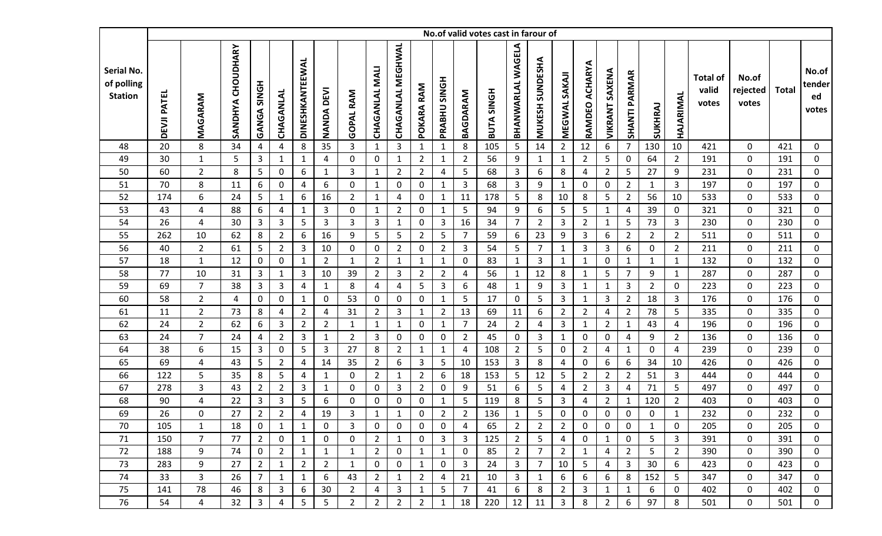|                                            |                    |                |                      |                    |                |                 |                   |                  |                       |                          |                |                     |                | No.of valid votes cast in farour of |                   |                           |                     |                   |                       |                      |                |                |                                   |                            |              |                                |
|--------------------------------------------|--------------------|----------------|----------------------|--------------------|----------------|-----------------|-------------------|------------------|-----------------------|--------------------------|----------------|---------------------|----------------|-------------------------------------|-------------------|---------------------------|---------------------|-------------------|-----------------------|----------------------|----------------|----------------|-----------------------------------|----------------------------|--------------|--------------------------------|
| Serial No.<br>of polling<br><b>Station</b> | <b>DEVJI PATEL</b> | MAGARAM        | CHOUDHARY<br>SANDHYA | <b>GANGA SINGH</b> | CHAGANLAL      | DINESHKANTEEWAL | <b>NANDA DEVI</b> | <b>GOPAL RAM</b> | <b>CHAGANLAL MALI</b> | <b>CHAGANLAL MEGHWAL</b> | POKARA RAM     | <b>PRABHU SINGH</b> | BAGDARAM       | <b>BUTA SINGH</b>                   | BHANWARLAL WAGELA | SUNDESHA<br><b>MUKESH</b> | <b>MEGWAL SAKAJ</b> | ACHARYA<br>RAMDEO | <b>VIKRANT SAXENA</b> | <b>SHANTI PARMAR</b> | SUKHRAJ        | HAJARIMAL      | <b>Total of</b><br>valid<br>votes | No.of<br>rejected<br>votes | <b>Total</b> | No.of<br>tender<br>ed<br>votes |
| 48                                         | 20                 | 8              | 34                   | 4                  | 4              | 8               | 35                | 3                | $\mathbf{1}$          | 3                        | $\mathbf{1}$   | $\mathbf{1}$        | 8              | 105                                 | 5                 | 14                        | $\overline{2}$      | 12                | 6                     | 7 <sup>1</sup>       | 130            | 10             | 421                               | $\mathbf 0$                | 421          | $\mathbf 0$                    |
| 49                                         | 30                 | $\mathbf 1$    | 5                    | $\overline{3}$     | $\mathbf{1}$   | $\mathbf{1}$    | $\overline{4}$    | $\mathbf 0$      | 0                     | $\mathbf{1}$             | $\overline{2}$ | $\mathbf{1}$        | $\overline{2}$ | 56                                  | 9                 | $\mathbf{1}$              | $\mathbf{1}$        | $\overline{2}$    | 5                     | $\mathbf 0$          | 64             | $\overline{2}$ | 191                               | $\mathbf 0$                | 191          | $\mathbf 0$                    |
| 50                                         | 60                 | $\overline{2}$ | 8                    | 5                  | $\mathbf 0$    | 6               | $\mathbf{1}$      | $\mathbf{3}$     | $\mathbf{1}$          | $\overline{2}$           | $\overline{2}$ | 4                   | 5              | 68                                  | 3                 | 6                         | 8                   | $\overline{a}$    | $\overline{2}$        | 5                    | 27             | 9              | 231                               | $\mathbf 0$                | 231          | $\mathbf 0$                    |
| 51                                         | 70                 | 8              | 11                   | 6                  | 0              | 4               | 6                 | $\mathbf{0}$     | $\mathbf{1}$          | $\mathbf 0$              | $\mathbf{0}$   | $\mathbf{1}$        | 3              | 68                                  | 3                 | 9                         | $\mathbf{1}$        | $\pmb{0}$         | $\mathbf 0$           | $\overline{2}$       | $\mathbf{1}$   | 3              | 197                               | $\mathbf 0$                | 197          | $\mathbf 0$                    |
| 52                                         | 174                | 6              | 24                   | 5                  | 1              | 6               | 16                | $\overline{2}$   | $\mathbf{1}$          | 4                        | $\mathbf{0}$   | $\mathbf{1}$        | 11             | 178                                 | 5                 | 8                         | 10                  | 8                 | 5                     | $\overline{2}$       | 56             | 10             | 533                               | $\mathbf 0$                | 533          | $\boldsymbol{0}$               |
| 53                                         | 43                 | 4              | 88                   | $\boldsymbol{6}$   | $\overline{4}$ | $\mathbf{1}$    | $\overline{3}$    | $\mathbf 0$      | $\mathbf{1}$          | $\overline{2}$           | $\mathbf 0$    | $\mathbf{1}$        | 5              | 94                                  | 9                 | 6                         | 5                   | 5                 | 1                     | 4                    | 39             | $\mathbf 0$    | 321                               | $\pmb{0}$                  | 321          | $\mathbf 0$                    |
| 54                                         | 26                 | 4              | 30                   | 3                  | 3              | 5               | 3                 | 3                | 3                     | $\mathbf{1}$             | 0              | 3                   | 16             | 34                                  | $\overline{7}$    | $\overline{2}$            | 3                   | $\overline{2}$    | 1                     | 5                    | 73             | $\mathbf{3}$   | 230                               | $\pmb{0}$                  | 230          | $\mathbf 0$                    |
| 55                                         | 262                | 10             | 62                   | 8                  | $\overline{2}$ | 6               | 16                | 9                | 5                     | 5                        | $\overline{2}$ | 5                   | $\overline{7}$ | 59                                  | 6                 | 23                        | 9                   | 3                 | 6                     | $\overline{2}$       | $2^{\circ}$    | $2^{\circ}$    | 511                               | $\mathbf 0$                | 511          | $\mathbf 0$                    |
| 56                                         | 40                 | $\overline{2}$ | 61                   | 5                  | $\overline{2}$ | 3               | 10                | 0                | $\boldsymbol{0}$      | $\overline{2}$           | $\mathbf 0$    | $\overline{2}$      | 3              | 54                                  | 5                 | $\overline{7}$            | $\mathbf{1}$        | 3                 | 3                     | 6                    | $\mathbf 0$    | $2^{\circ}$    | 211                               | $\mathbf 0$                | 211          | $\boldsymbol{0}$               |
| 57                                         | 18                 | $\mathbf{1}$   | 12                   | $\mathbf 0$        | 0              | $\mathbf{1}$    | $\overline{2}$    | 1                | $\overline{2}$        | $\mathbf{1}$             | $\mathbf{1}$   | $\mathbf{1}$        | 0              | 83                                  | $\mathbf{1}$      | 3                         | $\mathbf{1}$        | 1                 | $\mathbf{0}$          | $\mathbf{1}$         | $\mathbf{1}$   | $\mathbf{1}$   | 132                               | 0                          | 132          | $\mathbf 0$                    |
| 58                                         | 77                 | 10             | 31                   | 3                  | 1              | 3               | 10                | 39               | $\overline{2}$        | 3                        | $\overline{2}$ | $\overline{2}$      | 4              | 56                                  | 1                 | 12                        | 8                   | $\mathbf{1}$      | 5                     | $\overline{7}$       | 9              | $\mathbf{1}$   | 287                               | $\mathbf 0$                | 287          | $\mathbf 0$                    |
| 59                                         | 69                 | $\overline{7}$ | 38                   | $\mathbf{3}$       | 3              | 4               | $\mathbf{1}$      | 8                | $\overline{4}$        | 4                        | 5              | 3                   | 6              | 48                                  | $\mathbf{1}$      | 9                         | 3                   | 1                 | 1                     | 3                    | $\overline{2}$ | 0              | 223                               | $\mathbf 0$                | 223          | $\mathbf 0$                    |
| 60                                         | 58                 | $\mathbf{2}$   | 4                    | $\mathbf 0$        | $\mathbf 0$    | $\mathbf{1}$    | $\mathbf 0$       | 53               | 0                     | $\mathbf 0$              | 0              | $\mathbf{1}$        | 5              | 17                                  | 0                 | 5                         | 3                   | $\mathbf{1}$      | 3                     | $\overline{2}$       | 18             | $\mathbf{3}$   | 176                               | $\mathbf 0$                | 176          | $\mathbf 0$                    |
| 61                                         | 11                 | $\overline{2}$ | 73                   | $\,8\,$            | 4              | $\overline{2}$  | $\overline{4}$    | 31               | $\overline{2}$        | $\overline{3}$           | 1              | $\overline{2}$      | 13             | 69                                  | 11                | 6                         | $\overline{2}$      | $\overline{2}$    | 4                     | $\overline{2}$       | 78             | 5              | 335                               | $\mathbf 0$                | 335          | $\mathbf 0$                    |
| 62                                         | 24                 | $\overline{2}$ | 62                   | 6                  | 3              | $\overline{2}$  | $\overline{2}$    | $\mathbf{1}$     | $\mathbf{1}$          | $\mathbf{1}$             | 0              | $\mathbf{1}$        | $\overline{7}$ | 24                                  | $\overline{2}$    | 4                         | 3                   | $\mathbf{1}$      | $\overline{2}$        | $\mathbf{1}$         | 43             | $\overline{4}$ | 196                               | $\mathbf 0$                | 196          | $\boldsymbol{0}$               |
| 63                                         | 24                 | $\overline{7}$ | 24                   | $\overline{a}$     | $\overline{2}$ | $\overline{3}$  | $\mathbf{1}$      | $\overline{2}$   | 3                     | $\mathbf 0$              | $\mathbf 0$    | 0                   | $\overline{2}$ | 45                                  | $\mathbf 0$       | 3                         | $\mathbf{1}$        | $\pmb{0}$         | 0                     | 4                    | 9              | $\overline{2}$ | 136                               | $\mathbf 0$                | 136          | $\mathbf 0$                    |
| 64                                         | 38                 | 6              | 15                   | $\overline{3}$     | 0              | 5               | $\mathbf{3}$      | 27               | 8                     | $\overline{2}$           | 1              | 1                   | $\overline{4}$ | 108                                 | $\overline{2}$    | 5                         | 0                   | $\overline{2}$    | 4                     | $\mathbf{1}$         | $\mathbf 0$    | 4              | 239                               | $\mathbf 0$                | 239          | $\mathbf 0$                    |
| 65                                         | 69                 | 4              | 43                   | 5                  | $\overline{2}$ | 4               | 14                | 35               | $\overline{2}$        | 6                        | $\mathbf{3}$   | 5                   | 10             | 153                                 | $\mathbf{3}$      | 8                         | 4                   | 0                 | 6                     | 6                    | 34             | 10             | 426                               | $\mathbf 0$                | 426          | $\mathbf 0$                    |
| 66                                         | 122                | 5              | 35                   | 8                  | 5              | 4               | $\mathbf{1}$      | 0                | $\overline{2}$        | $\mathbf{1}$             | $\overline{2}$ | 6                   | 18             | 153                                 | 5                 | 12                        | 5                   | $\overline{2}$    | $\overline{2}$        | $\overline{2}$       | 51             | 3              | 444                               | $\pmb{0}$                  | 444          | $\mathbf 0$                    |
| 67                                         | 278                | 3              | 43                   | $\overline{2}$     | $\overline{2}$ | $\overline{3}$  | $\mathbf{1}$      | 0                | $\overline{0}$        | 3                        | $\overline{2}$ | 0                   | 9              | 51                                  | 6                 | 5                         | 4                   | $\overline{2}$    | 3                     | 4                    | 71             | 5              | 497                               | $\mathbf 0$                | 497          | $\mathbf 0$                    |
| 68                                         | 90                 | 4              | 22                   | $\mathbf{3}$       | 3              | 5               | 6                 | 0                | 0                     | $\mathbf 0$              | 0              | $\mathbf{1}$        | 5              | 119                                 | 8                 | 5                         | 3                   | 4                 | $\overline{2}$        | 1                    | 120            | $\overline{2}$ | 403                               | $\mathbf 0$                | 403          | 0                              |
| 69                                         | 26                 | 0              | 27                   | $\overline{2}$     | $\overline{2}$ | 4               | 19                | 3                | $\mathbf{1}$          | $\mathbf{1}$             | 0              | $\overline{2}$      | $\overline{2}$ | 136                                 | $\mathbf{1}$      | 5                         | 0                   | 0                 | 0                     | 0                    | 0              | $\mathbf{1}$   | 232                               | 0                          | 232          | 0                              |
| 70                                         | 105                | $\mathbf{1}$   | 18                   | $\mathbf 0$        | $\mathbf{1}$   | $\mathbf{1}$    | 0                 | 3                | 0                     | $\mathbf 0$              | 0              | 0                   | 4              | 65                                  | $\overline{2}$    | $\overline{2}$            | $\overline{2}$      | 0                 | 0                     | 0                    | $\mathbf{1}$   | 0              | 205                               | 0                          | 205          | 0                              |
| 71                                         | 150                | $\overline{7}$ | 77                   | $\overline{2}$     | $\mathbf 0$    | $\mathbf{1}$    | 0                 | 0                | $\overline{2}$        | 1                        | 0              | $\mathbf{3}$        | 3              | 125                                 | $\overline{2}$    | 5                         | 4                   | 0                 | 1                     | $\mathbf{0}$         | 5              | 3              | 391                               | 0                          | 391          | $\mathbf 0$                    |
| 72                                         | 188                | 9              | 74                   | $\mathbf 0$        | $\overline{2}$ | $\mathbf{1}$    | $\mathbf{1}$      | $\mathbf{1}$     | $\overline{2}$        | 0                        | $\mathbf{1}$   | $\mathbf{1}$        | 0              | 85                                  | $\overline{2}$    | $\overline{7}$            | $\overline{2}$      | $\mathbf{1}$      | 4                     | $\overline{2}$       | 5              | $\overline{2}$ | 390                               | 0                          | 390          | 0                              |
| 73                                         | 283                | 9              | 27                   | $\overline{2}$     | $\mathbf{1}$   | $\overline{2}$  | $\overline{2}$    | 1                | 0                     | 0                        | $\mathbf{1}$   | 0                   | 3              | 24                                  | 3                 | $\overline{7}$            | 10                  | 5                 | 4                     | 3                    | 30             | 6              | 423                               | 0                          | 423          | 0                              |
| 74                                         | 33                 | 3              | 26                   | $\overline{7}$     | $\mathbf{1}$   | $\mathbf{1}$    | 6                 | 43               | $\overline{2}$        | 1                        | $\overline{2}$ | 4                   | 21             | 10                                  | 3                 | 1                         | 6                   | 6                 | 6                     | 8                    | 152            | 5 <sub>1</sub> | 347                               | 0                          | 347          | $\mathbf{0}$                   |
| 75                                         | 141                | 78             | 46                   | 8                  | 3              | 6               | 30                | $\overline{2}$   | 4                     | 3                        | 1              | 5                   | $\overline{7}$ | 41                                  | 6                 | 8                         | 2                   | 3                 | 1                     | $\mathbf{1}$         | 6              | $\mathbf 0$    | 402                               | 0                          | 402          | $\mathbf 0$                    |
| 76                                         | 54                 | 4              | 32                   | 3                  | 4              | 5               | 5                 | $\overline{2}$   | $\overline{2}$        | $\overline{2}$           | $\overline{2}$ | $\mathbf{1}$        | 18             | 220                                 | 12                | 11                        | 3                   | 8                 | $\overline{2}$        | 6                    | 97             | 8              | 501                               | 0                          | 501          | $\mathbf{0}$                   |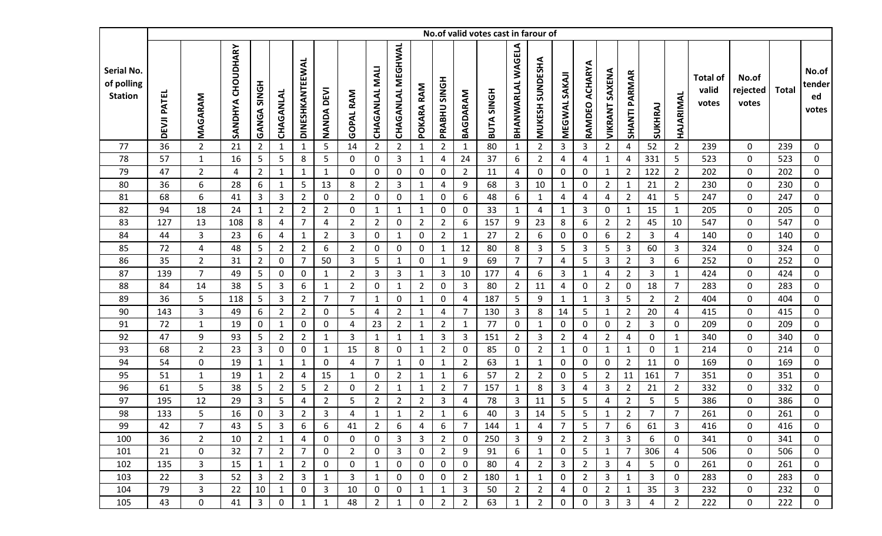|                                            |                    |                |                      |                    |                |                 |                   |                  |                       |                          |                |                     |                | No.of valid votes cast in farour of |                   |                           |                     |                   |                       |                 |                |                |                                   |                            |              |                                |
|--------------------------------------------|--------------------|----------------|----------------------|--------------------|----------------|-----------------|-------------------|------------------|-----------------------|--------------------------|----------------|---------------------|----------------|-------------------------------------|-------------------|---------------------------|---------------------|-------------------|-----------------------|-----------------|----------------|----------------|-----------------------------------|----------------------------|--------------|--------------------------------|
| Serial No.<br>of polling<br><b>Station</b> | <b>DEVJI PATEL</b> | MAGARAM        | CHOUDHARY<br>SANDHYA | <b>GANGA SINGH</b> | CHAGANLAL      | DINESHKANTEEWAL | <b>NANDA DEVI</b> | <b>GOPAL RAM</b> | <b>CHAGANLAL MALI</b> | <b>CHAGANLAL MEGHWAL</b> | POKARA RAM     | <b>PRABHU SINGH</b> | BAGDARAM       | <b>BUTA SINGH</b>                   | BHANWARLAL WAGELA | SUNDESHA<br><b>MUKESH</b> | <b>MEGWAL SAKAJ</b> | ACHARYA<br>RAMDEO | <b>VIKRANT SAXENA</b> | SHANTI PARMAR   | SUKHRAJ        | HAJARIMAL      | <b>Total of</b><br>valid<br>votes | No.of<br>rejected<br>votes | <b>Total</b> | No.of<br>tender<br>ed<br>votes |
| 77                                         | 36                 | $\overline{2}$ | 21                   | $\overline{2}$     | 1              | $\mathbf{1}$    | 5                 | 14               | $\overline{2}$        | $\overline{2}$           | $\mathbf{1}$   | $\overline{2}$      | $\mathbf 1$    | 80                                  | $\mathbf{1}$      | $\overline{2}$            | 3                   | 3                 | $2^{\circ}$           | 4               | 52             | $2^{\circ}$    | 239                               | $\mathbf 0$                | 239          | 0                              |
| 78                                         | 57                 | $\mathbf 1$    | 16                   | $\overline{5}$     | 5              | 8               | 5                 | $\mathbf 0$      | 0                     | 3                        | $\mathbf{1}$   | 4                   | 24             | 37                                  | 6                 | $\overline{2}$            | 4                   | 4                 | 1                     | 4               | 331            | 5              | 523                               | $\pmb{0}$                  | 523          | $\mathbf 0$                    |
| 79                                         | 47                 | $\overline{2}$ | 4                    | $\overline{2}$     | $\mathbf{1}$   | $\mathbf{1}$    | $\mathbf{1}$      | $\mathbf 0$      | $\boldsymbol{0}$      | $\mathbf 0$              | 0              | 0                   | $\overline{2}$ | 11                                  | 4                 | $\mathbf 0$               | 0                   | $\pmb{0}$         | 1                     | $\overline{2}$  | 122            | $2^{\circ}$    | 202                               | $\mathbf 0$                | 202          | $\mathbf 0$                    |
| 80                                         | 36                 | 6              | 28                   | 6                  | $\mathbf 1$    | 5               | 13                | 8                | $\overline{2}$        | 3                        | 1              | 4                   | 9              | 68                                  | 3                 | 10                        | $\mathbf{1}$        | $\mathbf 0$       | $\overline{2}$        | 1               | 21             | $2^{\circ}$    | 230                               | $\mathbf 0$                | 230          | $\mathbf 0$                    |
| 81                                         | 68                 | 6              | 41                   | 3                  | 3              | $\overline{2}$  | 0                 | $\overline{2}$   | $\mathbf 0$           | 0                        | 1              | 0                   | 6              | 48                                  | 6                 | 1                         | 4                   | 4                 | 4                     | $\overline{2}$  | 41             | 5              | 247                               | $\mathbf 0$                | 247          | $\mathbf 0$                    |
| 82                                         | 94                 | 18             | 24                   | $\mathbf{1}$       | $\overline{2}$ | $\overline{2}$  | $\overline{2}$    | $\mathbf 0$      | $\mathbf{1}$          | $\mathbf{1}$             | $\mathbf{1}$   | 0                   | 0              | 33                                  | $\mathbf{1}$      | 4                         | $\mathbf{1}$        | 3                 | 0                     | $\mathbf{1}$    | 15             | $\mathbf{1}$   | 205                               | $\pmb{0}$                  | 205          | $\mathbf 0$                    |
| 83                                         | 127                | 13             | 108                  | 8                  | 4              | $\overline{7}$  | $\overline{4}$    | $\overline{2}$   | $\overline{2}$        | $\mathbf 0$              | $\overline{2}$ | $\overline{2}$      | 6              | 157                                 | 9                 | 23                        | 8                   | 6                 | $\overline{2}$        | $\overline{2}$  | 45             | 10             | 547                               | $\pmb{0}$                  | 547          | $\mathbf 0$                    |
| 84                                         | 44                 | 3              | 23                   | 6                  | 4              | $\mathbf{1}$    | $\overline{2}$    | 3                | $\mathbf 0$           | $\mathbf{1}$             | $\overline{0}$ | $\overline{2}$      | $\mathbf 1$    | 27                                  | $\overline{2}$    | 6                         | 0                   | $\pmb{0}$         | 6                     | $\overline{2}$  | 3              | $\overline{4}$ | 140                               | $\mathbf 0$                | 140          | $\mathbf 0$                    |
| 85                                         | 72                 | 4              | 48                   | $\overline{5}$     | $\overline{2}$ | $\overline{2}$  | 6                 | $\overline{2}$   | $\mathbf 0$           | $\mathbf 0$              | $\mathbf 0$    | $\mathbf{1}$        | 12             | 80                                  | 8                 | 3                         | 5                   | 3                 | 5                     | 3               | 60             | $\mathbf{3}$   | 324                               | $\mathbf 0$                | 324          | $\boldsymbol{0}$               |
| 86                                         | 35                 | $\overline{2}$ | 31                   | $\overline{2}$     | 0              | 7               | 50                | $\mathbf{3}$     | 5                     | $\mathbf{1}$             | $\mathbf{0}$   | $\mathbf{1}$        | 9              | 69                                  | 7                 | $\overline{7}$            | 4                   | 5                 | 3                     | $\overline{2}$  | 3              | 6              | 252                               | 0                          | 252          | $\mathbf 0$                    |
| 87                                         | 139                | $\overline{7}$ | 49                   | 5                  | 0              | 0               | $\mathbf{1}$      | $\overline{2}$   | 3                     | 3                        | 1              | 3                   | 10             | 177                                 | 4                 | 6                         | 3                   | 1                 | 4                     | $\overline{2}$  | 3              | $\mathbf{1}$   | 424                               | $\mathbf 0$                | 424          | $\mathbf 0$                    |
| 88                                         | 84                 | 14             | 38                   | $\overline{5}$     | 3              | 6               | $\mathbf{1}$      | $\overline{2}$   | 0                     | $\mathbf{1}$             | $\overline{2}$ | 0                   | 3              | 80                                  | $\overline{2}$    | 11                        | 4                   | 0                 | $\overline{2}$        | 0               | 18             | $\overline{7}$ | 283                               | $\mathbf 0$                | 283          | $\mathbf 0$                    |
| 89                                         | 36                 | 5              | 118                  | 5                  | 3              | $\overline{2}$  | $\overline{7}$    | $\overline{7}$   | $\mathbf{1}$          | $\mathbf 0$              | $\mathbf{1}$   | 0                   | 4              | 187                                 | 5                 | 9                         | $\mathbf{1}$        | 1                 | 3                     | 5               | $\overline{2}$ | $2^{\circ}$    | 404                               | $\mathbf 0$                | 404          | $\mathbf 0$                    |
| 90                                         | 143                | 3              | 49                   | 6                  | $\overline{2}$ | $\overline{2}$  | $\mathbf 0$       | 5                | 4                     | $\overline{2}$           | $\mathbf{1}$   | 4                   | $\overline{7}$ | 130                                 | 3                 | 8                         | 14                  | 5                 | 1                     | $\overline{2}$  | 20             | $\overline{4}$ | 415                               | $\mathbf 0$                | 415          | $\mathbf 0$                    |
| 91                                         | 72                 | $\mathbf{1}$   | 19                   | $\mathbf 0$        | $\mathbf{1}$   | 0               | $\mathbf 0$       | 4                | 23                    | $\overline{2}$           | $\mathbf{1}$   | $\overline{2}$      | $\mathbf{1}$   | 77                                  | 0                 | $\mathbf{1}$              | 0                   | $\pmb{0}$         | $\mathbf 0$           | $\overline{2}$  | 3              | $\mathbf{0}$   | 209                               | $\mathbf 0$                | 209          | $\boldsymbol{0}$               |
| 92                                         | 47                 | 9              | 93                   | $\overline{5}$     | $\overline{2}$ | $\overline{2}$  | $\mathbf{1}$      | 3                | $\mathbf{1}$          | $\mathbf{1}$             | 1              | 3                   | 3              | 151                                 | $\overline{2}$    | 3                         | $\overline{2}$      | 4                 | $\overline{2}$        | 4               | $\mathbf 0$    | $\mathbf{1}$   | 340                               | $\mathbf 0$                | 340          | $\mathbf 0$                    |
| 93                                         | 68                 | $\overline{2}$ | 23                   | $\overline{3}$     | 0              | 0               | $\mathbf{1}$      | 15               | 8                     | $\mathbf 0$              | 1              | $\overline{2}$      | 0              | 85                                  | 0                 | $\overline{2}$            | $\mathbf{1}$        | 0                 | 1                     | 1               | 0              | $\mathbf{1}$   | 214                               | $\mathbf 0$                | 214          | $\mathbf 0$                    |
| 94                                         | 54                 | 0              | 19                   | $\mathbf{1}$       | $\mathbf{1}$   | $\mathbf{1}$    | $\mathbf 0$       | 4                | $\overline{7}$        | $\mathbf{1}$             | $\mathbf 0$    | $\mathbf{1}$        | $\overline{2}$ | 63                                  | $\mathbf{1}$      | $\mathbf{1}$              | $\mathbf 0$         | $\mathbf 0$       | $\mathbf{0}$          | $\overline{2}$  | 11             | $\mathbf 0$    | 169                               | $\mathbf 0$                | 169          | $\mathbf 0$                    |
| 95                                         | 51                 | $\mathbf{1}$   | 19                   | $\mathbf{1}$       | $\overline{2}$ | 4               | 15                | $\mathbf{1}$     | 0                     | $\overline{2}$           | $\mathbf{1}$   | $\mathbf{1}$        | 6              | 57                                  | $\overline{2}$    | $\overline{2}$            | 0                   | 5                 | $\overline{2}$        | 11              | 161            | $\overline{7}$ | 351                               | $\pmb{0}$                  | 351          | $\boldsymbol{0}$               |
| 96                                         | 61                 | 5              | 38                   | 5                  | $\overline{2}$ | 5               | $\overline{2}$    | 0                | $\overline{2}$        | $\mathbf{1}$             | 1              | $\overline{2}$      | $\overline{7}$ | 157                                 | 1                 | 8                         | 3                   | 4                 | 3                     | $\overline{2}$  | 21             | $2^{\circ}$    | 332                               | $\mathbf 0$                | 332          | $\mathbf 0$                    |
| 97                                         | 195                | 12             | 29                   | $\mathbf{3}$       | 5              | 4               | $\overline{2}$    | 5                | $\overline{2}$        | $\overline{2}$           | $\overline{2}$ | 3                   | 4              | 78                                  | 3                 | 11                        | 5                   | 5                 | 4                     | $\overline{2}$  | 5              | 5              | 386                               | $\mathbf 0$                | 386          | $\mathbf 0$                    |
| 98                                         | 133                | 5              | 16                   | $\pmb{0}$          | 3              | $\overline{2}$  | 3                 | 4                | $\mathbf{1}$          | $\mathbf{1}$             | $\overline{2}$ | $\mathbf{1}$        | 6              | 40                                  | 3                 | 14                        | 5                   | 5                 | 1                     | $\overline{2}$  | $\overline{7}$ | $\overline{7}$ | 261                               | 0                          | 261          | 0                              |
| 99                                         | 42                 | $\overline{7}$ | 43                   | 5                  | 3              | 6               | 6                 | 41               | $\overline{2}$        | 6                        | 4              | 6                   | $\overline{7}$ | 144                                 | $\mathbf{1}$      | 4                         | $\overline{7}$      | 5                 | $\overline{7}$        | 6               | 61             | 3              | 416                               | 0                          | 416          | 0                              |
| 100                                        | 36                 | $\overline{2}$ | 10                   | $\overline{2}$     | 1              | 4               | 0                 | $\mathbf{0}$     | $\mathbf 0$           | 3                        | 3              | $\overline{2}$      | 0              | 250                                 | 3                 | 9                         | $\overline{2}$      | $\overline{2}$    | 3                     | 3               | 6              | 0              | 341                               | 0                          | 341          | $\mathbf 0$                    |
| 101                                        | 21                 | 0              | 32                   | $\overline{7}$     | $\overline{2}$ | 7               | 0                 | $\overline{2}$   | 0                     | 3                        | 0              | $\overline{2}$      | 9              | 91                                  | 6                 | $\mathbf{1}$              | 0                   | 5                 | 1                     | $7\overline{ }$ | 306            | 4              | 506                               | 0                          | 506          | 0                              |
| 102                                        | 135                | 3              | 15                   | 1                  | $\mathbf 1$    | 2               | 0                 | 0                | $\mathbf{1}$          | 0                        | 0              | 0                   | 0              | 80                                  | 4                 | $\overline{2}$            | 3                   | $\overline{2}$    | 3                     | 4               | 5              | 0              | 261                               | 0                          | 261          | 0                              |
| 103                                        | 22                 | 3              | 52                   | 3                  | $\overline{2}$ | 3               | $\mathbf{1}$      | 3                | $\mathbf{1}$          | 0                        | 0              | 0                   | $\overline{2}$ | 180                                 | $\mathbf{1}$      | $\mathbf{1}$              | 0                   | $\overline{2}$    | 3                     | 1               | 3              | $\mathbf 0$    | 283                               | 0                          | 283          | 0                              |
| 104                                        | 79                 | $\overline{3}$ | 22                   | 10                 | $\mathbf{1}$   | 0               | 3                 | 10               | 0                     | 0                        | 1              | $\mathbf{1}$        | 3              | 50                                  | $\overline{2}$    | $\overline{2}$            | 4                   | $\mathbf 0$       | $\overline{2}$        | $\mathbf{1}$    | 35             | 3              | 232                               | 0                          | 232          | $\mathbf 0$                    |
| 105                                        | 43                 | 0              | 41                   | 3                  | 0              | $\mathbf{1}$    | $\mathbf{1}$      | 48               | $\overline{2}$        | $\mathbf 1$              | 0              | $\overline{2}$      | $\overline{2}$ | 63                                  | $\mathbf{1}$      | $\overline{2}$            | 0                   | 0                 | 3                     | 3               | 4              | $\overline{2}$ | 222                               | 0                          | 222          | $\mathbf 0$                    |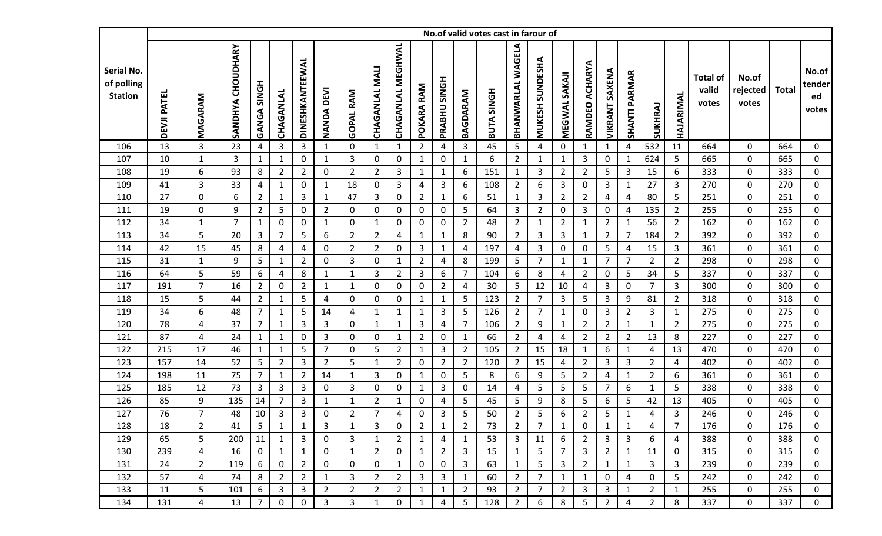|                                            |             |                |                      |                |                |                 |                   |                  |                       |                          |                |                     |                | No.of valid votes cast in farour of |                          |                           |                     |                   |                       |                      |                |                |                                   |                            |              |                                |
|--------------------------------------------|-------------|----------------|----------------------|----------------|----------------|-----------------|-------------------|------------------|-----------------------|--------------------------|----------------|---------------------|----------------|-------------------------------------|--------------------------|---------------------------|---------------------|-------------------|-----------------------|----------------------|----------------|----------------|-----------------------------------|----------------------------|--------------|--------------------------------|
| Serial No.<br>of polling<br><b>Station</b> | DEVJI PATEL | MAGARAM        | CHOUDHARY<br>SANDHYA | GANGA SINGH    | CHAGANLAL      | DINESHKANTEEWAL | <b>NANDA DEVI</b> | <b>GOPAL RAM</b> | <b>CHAGANLAL MALI</b> | <b>CHAGANLAL MEGHWAL</b> | RAM<br>POKARA  | <b>PRABHU SINGH</b> | BAGDARAM       | <b>BUTA SINGH</b>                   | <b>BHANWARLAL WAGELA</b> | SUNDESHA<br><b>MUKESH</b> | <b>MEGWAL SAKAJ</b> | ACHARYA<br>RAMDEO | <b>VIKRANT SAXENA</b> | <b>SHANTI PARMAR</b> | SUKHRAJ        | HAJARIMAL      | <b>Total of</b><br>valid<br>votes | No.of<br>rejected<br>votes | <b>Total</b> | No.of<br>tender<br>ed<br>votes |
| 106                                        | 13          | 3              | 23                   | 4              | 3              | 3               | $\mathbf{1}$      | 0                | $\mathbf{1}$          | $\mathbf{1}$             | $\overline{2}$ | 4                   | 3              | 45                                  | 5                        | 4                         | 0                   | 1                 | 1                     | 4                    | 532            | 11             | 664                               | $\mathbf 0$                | 664          | $\mathbf 0$                    |
| 107                                        | 10          | $\mathbf{1}$   | 3                    | $\mathbf{1}$   | $\mathbf{1}$   | 0               | $\mathbf{1}$      | 3                | $\boldsymbol{0}$      | $\mathbf 0$              | $\mathbf{1}$   | $\mathbf 0$         | $\mathbf{1}$   | 6                                   | $\overline{2}$           | $\mathbf{1}$              | $\mathbf{1}$        | $\mathbf{3}$      | $\mathbf 0$           | $\mathbf{1}$         | 624            | 5              | 665                               | $\mathbf 0$                | 665          | $\mathbf 0$                    |
| 108                                        | 19          | 6              | 93                   | 8              | $\overline{2}$ | $\overline{2}$  | 0                 | $\overline{2}$   | $\overline{2}$        | 3                        | $\mathbf{1}$   | $\mathbf{1}$        | 6              | 151                                 | $\mathbf{1}$             | 3                         | $\overline{2}$      | $\overline{2}$    | 5                     | 3                    | 15             | 6              | 333                               | 0                          | 333          | $\boldsymbol{0}$               |
| 109                                        | 41          | 3              | 33                   | $\overline{4}$ | 1              | 0               | $\mathbf{1}$      | 18               | $\mathbf 0$           | 3                        | 4              | 3                   | 6              | 108                                 | $\overline{2}$           | 6                         | 3                   | 0                 | 3                     | 1                    | 27             | 3              | 270                               | $\mathbf 0$                | 270          | $\mathbf 0$                    |
| 110                                        | 27          | 0              | 6                    | $\overline{2}$ | $\mathbf{1}$   | 3               | $\mathbf{1}$      | 47               | 3                     | 0                        | $\overline{2}$ | $\mathbf{1}$        | 6              | 51                                  | $\mathbf{1}$             | 3                         | $\overline{2}$      | $\overline{2}$    | 4                     | 4                    | 80             | 5              | 251                               | $\mathbf 0$                | 251          | $\mathbf 0$                    |
| 111                                        | 19          | 0              | 9                    | $\overline{2}$ | 5              | 0               | $\overline{2}$    | 0                | 0                     | $\mathbf 0$              | 0              | 0                   | 5              | 64                                  | 3                        | $\overline{2}$            | 0                   | 3                 | 0                     | 4                    | 135            | $2^{\circ}$    | 255                               | $\mathbf 0$                | 255          | $\mathbf 0$                    |
| 112                                        | 34          | $\mathbf{1}$   | $\overline{7}$       | $\mathbf{1}$   | $\mathbf 0$    | 0               | $\mathbf{1}$      | 0                | $\mathbf{1}$          | $\pmb{0}$                | $\mathbf 0$    | 0                   | $\overline{2}$ | 48                                  | $\overline{2}$           | $\mathbf{1}$              | $\overline{2}$      | 1                 | $\overline{2}$        | 1                    | 56             | $2^{\circ}$    | 162                               | $\mathbf 0$                | 162          | $\mathbf 0$                    |
| 113                                        | 34          | 5              | 20                   | $\mathbf{3}$   | $\overline{7}$ | 5               | 6                 | $\overline{2}$   | $\overline{2}$        | 4                        | $\mathbf{1}$   | $\mathbf{1}$        | 8              | 90                                  | $\overline{2}$           | 3                         | 3                   | $\mathbf{1}$      | $\overline{2}$        | 7                    | 184            | $2^{\circ}$    | 392                               | $\mathbf 0$                | 392          | $\boldsymbol{0}$               |
| 114                                        | 42          | 15             | 45                   | 8              | 4              | 4               | $\mathbf 0$       | $\overline{2}$   | $\overline{2}$        | 0                        | 3              | $\mathbf{1}$        | 4              | 197                                 | 4                        | 3                         | 0                   | $\mathbf 0$       | 5                     | 4                    | 15             | $\mathbf{3}$   | 361                               | $\mathbf 0$                | 361          | $\mathbf 0$                    |
| 115                                        | 31          | $\mathbf{1}$   | 9                    | 5              | -1             | $\overline{2}$  | 0                 | $\mathbf{3}$     | $\mathbf 0$           | 1                        | $\overline{2}$ | 4                   | 8              | 199                                 | 5                        | $\overline{7}$            | $\mathbf{1}$        | 1                 | 7                     | 7                    | $\overline{2}$ | $\overline{2}$ | 298                               | $\mathbf 0$                | 298          | $\mathbf 0$                    |
| 116                                        | 64          | 5              | 59                   | 6              | 4              | 8               | $\mathbf{1}$      | $\mathbf{1}$     | 3                     | $\overline{2}$           | 3              | 6                   | $\overline{7}$ | 104                                 | 6                        | 8                         | 4                   | $\overline{2}$    | $\mathbf{0}$          | 5                    | 34             | 5              | 337                               | $\mathbf 0$                | 337          | $\mathbf 0$                    |
| 117                                        | 191         | $\overline{7}$ | 16                   | $\overline{2}$ | 0              | $\overline{2}$  | $\mathbf{1}$      | $\mathbf{1}$     | 0                     | 0                        | 0              | $\overline{2}$      | 4              | 30                                  | 5                        | 12                        | 10                  | 4                 | 3                     | 0                    | $\overline{7}$ | 3              | 300                               | 0                          | 300          | $\boldsymbol{0}$               |
| 118                                        | 15          | 5              | 44                   | $\overline{2}$ | 1              | 5               | $\overline{4}$    | 0                | 0                     | 0                        | 1              | $\mathbf{1}$        | 5              | 123                                 | $\overline{2}$           | $\overline{7}$            | 3                   | 5                 | 3                     | 9                    | 81             | $2^{\circ}$    | 318                               | $\mathbf 0$                | 318          | $\mathbf 0$                    |
| 119                                        | 34          | 6              | 48                   | $\overline{7}$ | $\mathbf{1}$   | 5               | 14                | 4                | $\mathbf{1}$          | $\mathbf{1}$             | $\mathbf{1}$   | 3                   | 5              | 126                                 | $\overline{2}$           | $\overline{7}$            | $\mathbf{1}$        | $\mathbf 0$       | 3                     | $\overline{2}$       | 3              | $\mathbf{1}$   | 275                               | $\mathbf 0$                | 275          | $\mathbf 0$                    |
| 120                                        | 78          | 4              | 37                   | $\overline{7}$ | $\mathbf{1}$   | 3               | $\mathbf{3}$      | 0                | $\mathbf{1}$          | $\mathbf{1}$             | 3              | 4                   | $\overline{7}$ | 106                                 | $\overline{2}$           | 9                         | $\mathbf{1}$        | $\overline{2}$    | $\overline{2}$        | $\mathbf{1}$         | $\mathbf{1}$   | $\overline{2}$ | 275                               | 0                          | 275          | $\boldsymbol{0}$               |
| 121                                        | 87          | 4              | 24                   | $\mathbf{1}$   | 1              | $\Omega$        | $\mathbf{3}$      | $\mathbf{0}$     | $\mathbf 0$           | 1                        | $\overline{2}$ | 0                   | $\mathbf{1}$   | 66                                  | $\overline{2}$           | 4                         | 4                   | $\overline{2}$    | $\overline{2}$        | $\overline{2}$       | 13             | 8              | 227                               | $\mathbf 0$                | 227          | $\mathbf 0$                    |
| 122                                        | 215         | 17             | 46                   | $\mathbf{1}$   | $\mathbf{1}$   | 5               | $\overline{7}$    | 0                | 5                     | $\overline{2}$           | 1              | 3                   | $\overline{2}$ | 105                                 | $\overline{2}$           | 15                        | 18                  | 1                 | 6                     | $\mathbf{1}$         | 4              | 13             | 470                               | 0                          | 470          | $\boldsymbol{0}$               |
| 123                                        | 157         | 14             | 52                   | 5              | $\overline{2}$ | 3               | $\overline{2}$    | 5                | $\mathbf{1}$          | $\overline{2}$           | 0              | $\overline{2}$      | $\overline{2}$ | 120                                 | $\overline{2}$           | 15                        | 4                   | $\overline{2}$    | 3                     | 3                    | $\overline{2}$ | 4              | 402                               | $\mathbf 0$                | 402          | $\mathbf 0$                    |
| 124                                        | 198         | 11             | 75                   | $\overline{7}$ | $\mathbf{1}$   | $\overline{2}$  | 14                | $\mathbf{1}$     | 3                     | $\mathbf 0$              | 1              | 0                   | 5              | 8                                   | 6                        | 9                         | 5                   | $\overline{2}$    | 4                     | $\mathbf{1}$         | $\overline{2}$ | 6              | 361                               | $\mathbf 0$                | 361          | $\mathbf 0$                    |
| 125                                        | 185         | 12             | 73                   | $\mathbf{3}$   | 3              | 3               | 0                 | 3                | $\boldsymbol{0}$      | $\mathbf 0$              | $\mathbf{1}$   | 3                   | 0              | 14                                  | $\overline{a}$           | 5                         | 5                   | 5                 | $\overline{7}$        | 6                    | $\mathbf{1}$   | 5              | 338                               | $\mathbf 0$                | 338          | 0                              |
| 126                                        | 85          | 9              | 135                  | 14             | $\overline{7}$ | 3               | $\mathbf{1}$      | $\mathbf{1}$     | $\overline{2}$        | $\mathbf{1}$             | 0              | 4                   | 5              | 45                                  | 5                        | 9                         | 8                   | 5                 | 6                     | 5                    | 42             | 13             | 405                               | 0                          | 405          | 0                              |
| 127                                        | 76          | $\overline{7}$ | 48                   | 10             | 3              | 3               | 0                 | 2                | $\overline{7}$        | 4                        | 0              | 3                   | 5              | 50                                  | $\overline{2}$           | 5                         | 6                   | $\overline{2}$    | 5                     | 1                    | 4              | 3              | 246                               | 0                          | 246          | 0                              |
| 128                                        | 18          | $\overline{2}$ | 41                   | 5              | $\mathbf{1}$   | $\mathbf{1}$    | 3                 | $\mathbf{1}$     | 3                     | $\mathbf 0$              | $\overline{2}$ | $\mathbf{1}$        | $\overline{2}$ | 73                                  | $\overline{2}$           | 7                         | $\mathbf{1}$        | 0                 | 1                     | $\mathbf{1}$         | 4              | 7              | 176                               | 0                          | 176          | 0                              |
| 129                                        | 65          | 5              | 200                  | 11             | 1              | 3               | 0                 | 3                | $\mathbf{1}$          | $\overline{2}$           | $\mathbf{1}$   | 4                   | $\mathbf{1}$   | 53                                  | 3                        | 11                        | 6                   | $\overline{2}$    | 3                     | $\mathbf{3}$         | 6              | 4              | 388                               | $\mathbf 0$                | 388          | $\mathbf 0$                    |
| 130                                        | 239         | 4              | 16                   | $\mathbf 0$    | 1              | 1               | 0                 | 1                | $\overline{2}$        | 0                        | $\mathbf{1}$   | $\overline{2}$      | 3              | 15                                  | 1                        | 5                         | 7                   | 3                 | $\overline{2}$        | $\mathbf{1}$         | 11             | $\mathbf 0$    | 315                               | 0                          | 315          | $\mathbf 0$                    |
| 131                                        | 24          | $\overline{2}$ | 119                  | 6              | 0              | $\overline{2}$  | 0                 | 0                | 0                     | 1                        | 0              | 0                   | 3              | 63                                  | 1                        | 5                         | 3                   | $\overline{2}$    | 1                     | 1                    | 3              | 3              | 239                               | $\mathbf 0$                | 239          | 0                              |
| 132                                        | 57          | 4              | 74                   | 8              | $\overline{2}$ | $\overline{2}$  | $\mathbf{1}$      | 3                | $\overline{2}$        | $\overline{2}$           | 3              | 3                   | $\mathbf{1}$   | 60                                  | $\overline{2}$           | $\overline{7}$            | $\mathbf{1}$        | $\mathbf{1}$      | 0                     | 4                    | 0              | 5              | 242                               | 0                          | 242          | $\mathbf 0$                    |
| 133                                        | 11          | 5              | 101                  | 6              | 3              | 3               | $\overline{2}$    | $\overline{2}$   | $\overline{2}$        | $\overline{2}$           | 1              | $\mathbf{1}$        | $\overline{2}$ | 93                                  | $\overline{2}$           | 7                         | $\overline{2}$      | 3                 | 3                     | $\mathbf{1}$         | $\overline{2}$ | $\mathbf{1}$   | 255                               | 0                          | 255          | 0                              |
| 134                                        | 131         | 4              | 13                   | 7              | 0              | 0               | 3                 | 3                | $\mathbf{1}$          | 0                        | 1              | 4                   | 5              | 128                                 | $\overline{2}$           | 6                         | 8                   | 5                 | $\overline{2}$        | 4                    | $\overline{2}$ | 8              | 337                               | 0                          | 337          | 0                              |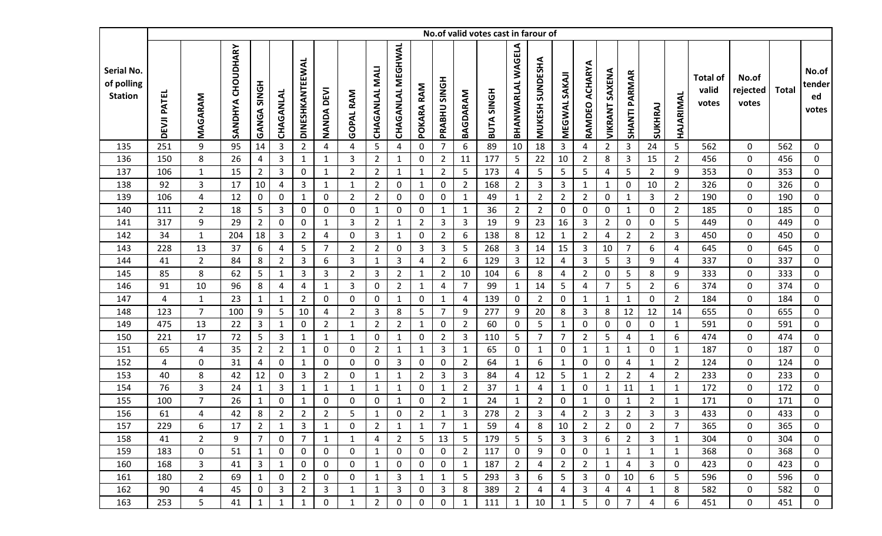|                                            |                    |                |                      |                  |                |                 |                |                  |                       |                          |                |                     |                | No.of valid votes cast in farour of |                   |                           |                |                   |                       |                |                |                |                                   |                            |              |                                |
|--------------------------------------------|--------------------|----------------|----------------------|------------------|----------------|-----------------|----------------|------------------|-----------------------|--------------------------|----------------|---------------------|----------------|-------------------------------------|-------------------|---------------------------|----------------|-------------------|-----------------------|----------------|----------------|----------------|-----------------------------------|----------------------------|--------------|--------------------------------|
| Serial No.<br>of polling<br><b>Station</b> | <b>DEVJI PATEL</b> | MAGARAM        | CHOUDHARY<br>SANDHYA | GANGA SINGH      | CHAGANLAL      | DINESHKANTEEWAL | NANDA DEVI     | <b>GOPAL RAM</b> | <b>CHAGANLAL MALI</b> | <b>CHAGANLAL MEGHWAL</b> | RAM<br>POKARA  | <b>PRABHU SINGH</b> | BAGDARAM       | <b>BUTA SINGH</b>                   | BHANWARLAL WAGELA | SUNDESHA<br><b>MUKESH</b> | MEGWAL SAKAI   | ACHARYA<br>RAMDEO | <b>VIKRANT SAXENA</b> | SHANTI PARMAR  | SUKHRAJ        | HAJARIMAL      | <b>Total of</b><br>valid<br>votes | No.of<br>rejected<br>votes | <b>Total</b> | No.of<br>tender<br>ed<br>votes |
| 135                                        | 251                | 9              | 95                   | 14               | 3              | $\overline{2}$  | $\overline{4}$ | 4                | 5                     | 4                        | 0              | $\overline{7}$      | 6              | 89                                  | 10                | 18                        | $\overline{3}$ | 4                 | $2^{\circ}$           | $\mathbf{3}$   | 24             | 5              | 562                               | $\mathbf 0$                | 562          | $\mathbf 0$                    |
| 136                                        | 150                | 8              | 26                   | 4                | $\mathbf{3}$   | $\mathbf{1}$    | $\mathbf{1}$   | 3                | $\overline{2}$        | $\mathbf{1}$             | 0              | $\overline{2}$      | 11             | 177                                 | 5                 | 22                        | 10             | $\overline{2}$    | 8                     | $\mathbf{3}$   | 15             | $\overline{2}$ | 456                               | $\mathbf 0$                | 456          | $\mathbf 0$                    |
| 137                                        | 106                | $\mathbf{1}$   | 15                   | $\overline{2}$   | $\mathbf{3}$   | 0               | $\mathbf{1}$   | $\overline{2}$   | $\overline{2}$        | $\mathbf{1}$             | $\mathbf{1}$   | $\overline{2}$      | 5              | 173                                 | 4                 | 5                         | 5              | 5                 | 4                     | 5              | $\overline{2}$ | 9              | 353                               | $\mathbf 0$                | 353          | $\boldsymbol{0}$               |
| 138                                        | 92                 | 3              | 17                   | 10               | 4              | 3               | $\mathbf{1}$   | 1                | $\overline{2}$        | $\mathbf 0$              | 1              | 0                   | $\overline{2}$ | 168                                 | $\overline{2}$    | 3                         | 3              | 1                 | 1                     | 0              | 10             | $2^{\circ}$    | 326                               | $\mathbf 0$                | 326          | $\mathbf 0$                    |
| 139                                        | 106                | 4              | 12                   | $\mathbf 0$      | 0              | $\mathbf{1}$    | 0              | $\overline{2}$   | $\overline{2}$        | 0                        | 0              | 0                   | 1              | 49                                  | 1                 | $\overline{2}$            | $\overline{2}$ | $\overline{2}$    | 0                     | $\mathbf{1}$   | 3              | $\overline{2}$ | 190                               | $\mathbf 0$                | 190          | $\mathbf 0$                    |
| 140                                        | 111                | $\overline{2}$ | 18                   | $\overline{5}$   | 3              | 0               | $\mathbf 0$    | 0                | $\mathbf{1}$          | $\mathbf 0$              | 0              | $\mathbf{1}$        | $\mathbf 1$    | 36                                  | $\overline{2}$    | $\overline{2}$            | 0              | 0                 | 0                     | $\mathbf{1}$   | $\mathbf 0$    | $2^{\circ}$    | 185                               | $\pmb{0}$                  | 185          | $\mathbf 0$                    |
| 141                                        | 317                | 9              | 29                   | $\overline{2}$   | 0              | 0               | $\mathbf{1}$   | 3                | $\overline{2}$        | $\mathbf{1}$             | $\overline{2}$ | 3                   | 3              | 19                                  | 9                 | 23                        | 16             | 3                 | $\overline{2}$        | 0              | $\mathbf 0$    | 5              | 449                               | $\mathbf 0$                | 449          | $\mathbf 0$                    |
| 142                                        | 34                 | $\mathbf{1}$   | 204                  | 18               | 3              | $\overline{2}$  | $\overline{4}$ | 0                | 3                     | 1                        | 0              | $2^{\circ}$         | 6              | 138                                 | 8                 | 12                        | $\mathbf{1}$   | $\overline{2}$    | 4                     | $\overline{2}$ | $\overline{2}$ | $\mathbf{3}$   | 450                               | $\mathbf 0$                | 450          | $\mathbf 0$                    |
| 143                                        | 228                | 13             | 37                   | $\boldsymbol{6}$ | 4              | 5               | $\overline{7}$ | $\overline{2}$   | $\overline{2}$        | $\mathbf 0$              | 3              | 3                   | 5              | 268                                 | $\overline{3}$    | 14                        | 15             | $\mathbf{3}$      | 10                    | $\overline{7}$ | 6              | 4              | 645                               | $\mathbf 0$                | 645          | $\mathbf 0$                    |
| 144                                        | 41                 | $\overline{2}$ | 84                   | 8                | $\overline{2}$ | 3               | 6              | 3                | $\mathbf{1}$          | 3                        | 4              | $\overline{2}$      | 6              | 129                                 | 3                 | 12                        | 4              | 3                 | 5                     | 3              | 9              | 4              | 337                               | 0                          | 337          | $\mathbf 0$                    |
| 145                                        | 85                 | 8              | 62                   | 5                | 1              | 3               | $\mathbf{3}$   | $\overline{2}$   | 3                     | $\overline{2}$           | 1              | $\overline{2}$      | 10             | 104                                 | 6                 | 8                         | 4              | $\overline{2}$    | 0                     | 5              | 8              | 9              | 333                               | $\mathbf 0$                | 333          | $\mathbf 0$                    |
| 146                                        | 91                 | 10             | 96                   | 8                | 4              | 4               | $\mathbf{1}$   | 3                | $\boldsymbol{0}$      | $\overline{2}$           | 1              | 4                   | $\overline{7}$ | 99                                  | $\mathbf{1}$      | 14                        | 5              | 4                 | 7                     | 5              | $\overline{2}$ | 6              | 374                               | $\mathbf 0$                | 374          | $\mathbf 0$                    |
| 147                                        | 4                  | $\mathbf{1}$   | 23                   | $\mathbf{1}$     | $\mathbf{1}$   | $\overline{2}$  | $\mathbf 0$    | 0                | 0                     | $\mathbf{1}$             | 0              | $\mathbf{1}$        | 4              | 139                                 | 0                 | $2^{\circ}$               | 0              | $\mathbf{1}$      | 1                     | $\mathbf{1}$   | $\mathbf 0$    | $2^{\circ}$    | 184                               | $\mathbf 0$                | 184          | $\mathbf 0$                    |
| 148                                        | 123                | $\overline{7}$ | 100                  | 9                | 5              | 10              | $\overline{4}$ | $\overline{2}$   | 3                     | 8                        | 5              | $\overline{7}$      | 9              | 277                                 | 9                 | 20                        | 8              | 3                 | 8                     | 12             | 12             | 14             | 655                               | $\mathbf 0$                | 655          | $\mathbf 0$                    |
| 149                                        | 475                | 13             | 22                   | $\mathbf{3}$     | $\mathbf{1}$   | 0               | $\overline{2}$ | $\mathbf{1}$     | $\overline{2}$        | $\overline{2}$           | $\mathbf{1}$   | 0                   | $\overline{2}$ | 60                                  | 0                 | 5                         | $\mathbf{1}$   | $\pmb{0}$         | 0                     | $\mathbf 0$    | $\mathbf 0$    | $\mathbf{1}$   | 591                               | $\mathbf 0$                | 591          | $\boldsymbol{0}$               |
| 150                                        | 221                | 17             | 72                   | $\overline{5}$   | $\overline{3}$ | $\mathbf{1}$    | $\mathbf{1}$   | $\mathbf{1}$     | 0                     | $\mathbf{1}$             | 0              | $\overline{2}$      | 3              | 110                                 | 5                 | $\overline{7}$            | $\overline{7}$ | $\overline{2}$    | 5                     | 4              | $\mathbf{1}$   | 6              | 474                               | $\mathbf 0$                | 474          | $\mathbf 0$                    |
| 151                                        | 65                 | 4              | 35                   | $\overline{2}$   | $\overline{2}$ | 1               | 0              | 0                | $\overline{2}$        | 1                        | 1              | 3                   | 1              | 65                                  | $\mathbf{0}$      | 1                         | 0              | 1                 | -1                    | 1              | 0              | $\mathbf{1}$   | 187                               | $\mathbf 0$                | 187          | $\mathbf 0$                    |
| 152                                        | 4                  | 0              | 31                   | 4                | $\mathbf 0$    | $\mathbf{1}$    | $\mathbf 0$    | 0                | $\mathbf 0$           | $\overline{3}$           | 0              | 0                   | $\overline{2}$ | 64                                  | $\mathbf{1}$      | 6                         | $\mathbf{1}$   | 0                 | 0                     | 4              | $\mathbf{1}$   | $\overline{2}$ | 124                               | $\mathbf 0$                | 124          | $\mathbf 0$                    |
| 153                                        | 40                 | 8              | 42                   | 12               | $\mathbf 0$    | 3               | $\overline{2}$ | 0                | $\mathbf{1}$          | $\mathbf{1}$             | $\overline{2}$ | 3                   | 3              | 84                                  | 4                 | 12                        | 5              | $\mathbf{1}$      | $\overline{2}$        | $\overline{2}$ | 4              | $\overline{2}$ | 233                               | 0                          | 233          | $\boldsymbol{0}$               |
| 154                                        | 76                 | 3              | 24                   | $\mathbf{1}$     | 3              | $\mathbf{1}$    | $\mathbf{1}$   | 1                | 1                     | $\mathbf{1}$             | 0              | $\mathbf{1}$        | $\overline{2}$ | 37                                  | 1                 | 4                         | $\mathbf{1}$   | 0                 | 1                     | 11             | $\mathbf{1}$   | $\mathbf{1}$   | 172                               | $\mathbf 0$                | 172          | $\mathbf 0$                    |
| 155                                        | 100                | $\overline{7}$ | 26                   | $\mathbf{1}$     | $\mathbf 0$    | 1               | 0              | 0                | 0                     | $\mathbf{1}$             | $\mathbf 0$    | $\overline{2}$      | 1              | 24                                  | $\mathbf{1}$      | $\overline{2}$            | 0              | 1                 | 0                     | $\mathbf{1}$   | $\overline{2}$ | $\mathbf{1}$   | 171                               | $\mathbf 0$                | 171          | $\boldsymbol{0}$               |
| 156                                        | 61                 | 4              | 42                   | 8                | $\overline{2}$ | $\overline{2}$  | $\overline{2}$ | 5                | $\mathbf{1}$          | $\mathbf 0$              | $\overline{2}$ | $\mathbf{1}$        | 3              | 278                                 | $\overline{2}$    | 3                         | 4              | $\overline{2}$    | 3                     | $\overline{2}$ | 3              | 3              | 433                               | 0                          | 433          | 0                              |
| 157                                        | 229                | 6              | 17                   | $\overline{2}$   | $\mathbf{1}$   | $\mathbf{3}$    | $\mathbf{1}$   | 0                | $\overline{2}$        | $\mathbf{1}$             | $\mathbf{1}$   | $\overline{7}$      | $\mathbf{1}$   | 59                                  | 4                 | 8                         | 10             | $\overline{2}$    | $\overline{2}$        | 0              | $\overline{2}$ | $\overline{7}$ | 365                               | 0                          | 365          | 0                              |
| 158                                        | 41                 | $2^{\circ}$    | 9                    | $\overline{7}$   | $\mathbf 0$    | $\overline{7}$  | $\mathbf{1}$   | $\mathbf{1}$     | 4                     | $\overline{2}$           | 5              | 13                  | 5              | 179                                 | 5                 | 5                         | 3              | 3                 | 6                     | $2^{\circ}$    | 3              | $\mathbf{1}$   | 304                               | 0                          | 304          | $\mathbf 0$                    |
| 159                                        | 183                | 0              | 51                   | $\mathbf{1}$     | 0              | 0               | 0              | 0                | $\mathbf{1}$          | 0                        | 0              | 0                   | $\overline{2}$ | 117                                 | 0                 | 9                         | 0              | 0                 | 1                     | $\mathbf{1}$   | $\mathbf{1}$   | $\mathbf{1}$   | 368                               | 0                          | 368          | 0                              |
| 160                                        | 168                | 3              | 41                   | 3                | $\mathbf{1}$   | 0               | 0              | 0                | 1                     | 0                        | 0              | 0                   | $\mathbf{1}$   | 187                                 | $\overline{2}$    | 4                         | $\overline{2}$ | $\overline{2}$    | 1                     | 4              | 3              | 0              | 423                               | 0                          | 423          | 0                              |
| 161                                        | 180                | $\overline{2}$ | 69                   | $\mathbf{1}$     | 0              | $\overline{2}$  | 0              | 0                | 1                     | 3                        | $\mathbf{1}$   | $\mathbf{1}$        | 5              | 293                                 | 3                 | 6                         | 5              | 3                 | 0                     | 10             | 6              | 5              | 596                               | 0                          | 596          | 0                              |
| 162                                        | 90                 | 4              | 45                   | $\boldsymbol{0}$ | 3              | $\overline{2}$  | 3              | $\mathbf{1}$     | $\mathbf{1}$          | 3                        | 0              | 3                   | 8              | 389                                 | $\overline{2}$    | 4                         | 4              | 3                 | 4                     | 4              | $\mathbf{1}$   | 8              | 582                               | 0                          | 582          | 0                              |
| 163                                        | 253                | 5              | 41                   | $\mathbf{1}$     | $\mathbf 1$    | $\mathbf{1}$    | 0              | $\mathbf 1$      | $\overline{2}$        | 0                        | 0              | 0                   | $\mathbf{1}$   | 111                                 | $\mathbf{1}$      | 10                        | $\mathbf{1}$   | 5                 | 0                     | 7              | 4              | 6              | 451                               | 0                          | 451          | $\mathbf 0$                    |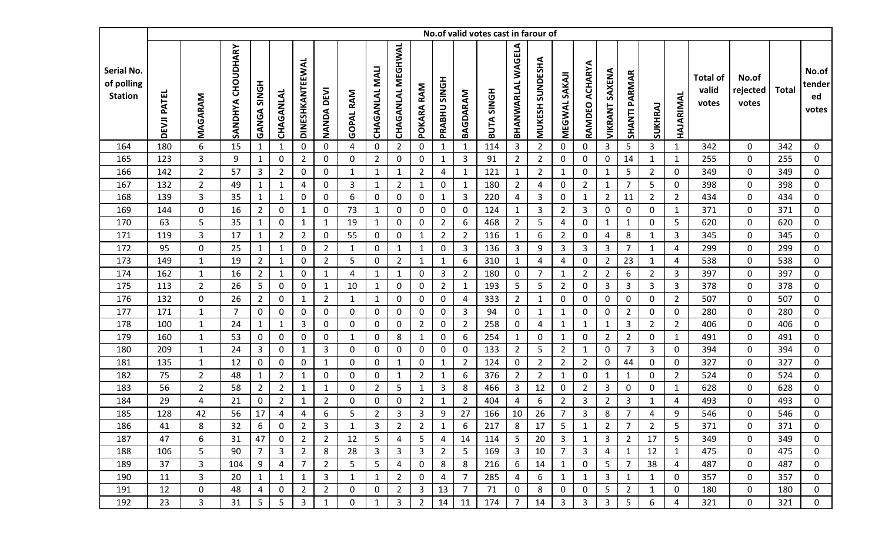|                                            |                    |                |                      |                    |                |                 |                |                  |                       |                          |                |                     |                | No.of valid votes cast in farour of |                   |                           |                |                   |                       |                |                |                |                                   |                            |              |                                |
|--------------------------------------------|--------------------|----------------|----------------------|--------------------|----------------|-----------------|----------------|------------------|-----------------------|--------------------------|----------------|---------------------|----------------|-------------------------------------|-------------------|---------------------------|----------------|-------------------|-----------------------|----------------|----------------|----------------|-----------------------------------|----------------------------|--------------|--------------------------------|
| Serial No.<br>of polling<br><b>Station</b> | <b>DEVJI PATEL</b> | MAGARAM        | CHOUDHARY<br>SANDHYA | <b>GANGA SINGH</b> | CHAGANLAL      | DINESHKANTEEWAL | NANDA DEVI     | <b>GOPAL RAM</b> | <b>CHAGANLAL MALI</b> | <b>CHAGANLAL MEGHWAL</b> | RAM<br>POKARA  | <b>PRABHU SINGH</b> | BAGDARAM       | <b>BUTA SINGH</b>                   | BHANWARLAL WAGELA | SUNDESHA<br><b>MUKESH</b> | MEGWAL SAKAI   | ACHARYA<br>RAMDEO | <b>VIKRANT SAXENA</b> | SHANTI PARMAR  | SUKHRAJ        | HAJARIMAL      | <b>Total of</b><br>valid<br>votes | No.of<br>rejected<br>votes | <b>Total</b> | No.of<br>tender<br>ed<br>votes |
| 164                                        | 180                | 6              | 15                   | $\mathbf{1}$       | 1              | 0               | $\mathbf 0$    | 4                | $\mathbf 0$           | $\overline{2}$           | 0              | $\mathbf{1}$        | $\mathbf 1$    | 114                                 | 3                 | $\overline{2}$            | 0              | 0                 | 3                     | 5              | 3              | $\mathbf{1}$   | 342                               | $\mathbf 0$                | 342          | 0                              |
| 165                                        | 123                | 3              | 9                    | $\mathbf{1}$       | $\mathbf 0$    | $\overline{2}$  | $\mathbf 0$    | 0                | $\overline{2}$        | $\mathbf 0$              | 0              | $\mathbf{1}$        | 3              | 91                                  | $\overline{2}$    | $\overline{2}$            | 0              | $\pmb{0}$         | $\mathbf 0$           | 14             | $\mathbf{1}$   | $\mathbf{1}$   | 255                               | $\mathbf 0$                | 255          | $\mathbf 0$                    |
| 166                                        | 142                | $\overline{2}$ | 57                   | $\mathbf{3}$       | $\overline{2}$ | 0               | $\mathbf 0$    | $\mathbf{1}$     | $\mathbf{1}$          | $\mathbf{1}$             | $\overline{2}$ | 4                   | $\mathbf{1}$   | 121                                 | $\mathbf{1}$      | $\overline{2}$            | $\mathbf{1}$   | $\mathbf 0$       | 1                     | 5              | $\overline{2}$ | 0              | 349                               | $\mathbf 0$                | 349          | $\mathbf 0$                    |
| 167                                        | 132                | $\overline{2}$ | 49                   | $\mathbf{1}$       | $\mathbf{1}$   | 4               | $\mathbf 0$    | 3                | $\mathbf{1}$          | $\overline{2}$           | 1              | 0                   | $\mathbf{1}$   | 180                                 | $\overline{2}$    | 4                         | $\mathbf 0$    | $\overline{2}$    | 1                     | $\overline{7}$ | 5              | $\mathbf 0$    | 398                               | $\mathbf 0$                | 398          | $\mathbf 0$                    |
| 168                                        | 139                | $\mathbf{3}$   | 35                   | $\mathbf{1}$       | 1              | 0               | 0              | 6                | $\mathbf 0$           | 0                        | 0              | $\mathbf{1}$        | 3              | 220                                 | 4                 | 3                         | 0              | 1                 | $\overline{2}$        | 11             | $\overline{2}$ | $\overline{2}$ | 434                               | $\mathbf 0$                | 434          | $\mathbf 0$                    |
| 169                                        | 144                | 0              | 16                   | $\overline{2}$     | $\mathbf 0$    | $\mathbf{1}$    | $\mathbf 0$    | 73               | $\mathbf{1}$          | 0                        | 0              | 0                   | $\mathbf 0$    | 124                                 | $\mathbf{1}$      | 3                         | $\overline{2}$ | 3                 | 0                     | 0              | $\mathbf 0$    | $\mathbf{1}$   | 371                               | $\pmb{0}$                  | 371          | $\mathbf 0$                    |
| 170                                        | 63                 | 5              | 35                   | $\mathbf{1}$       | $\mathbf 0$    | 1               | $\mathbf{1}$   | 19               | $\mathbf{1}$          | 0                        | 0              | $\overline{2}$      | 6              | 468                                 | $\overline{2}$    | 5                         | 4              | $\mathbf 0$       | 1                     | $\mathbf{1}$   | $\mathbf 0$    | 5              | 620                               | $\pmb{0}$                  | 620          | $\mathbf 0$                    |
| 171                                        | 119                | 3              | 17                   | $\mathbf{1}$       | $\overline{2}$ | $\overline{2}$  | $\mathbf 0$    | 55               | $\mathbf 0$           | $\mathbf 0$              | 1              | $\overline{2}$      | $\overline{2}$ | 116                                 | $\mathbf{1}$      | 6                         | $\overline{2}$ | 0                 | 4                     | 8              | $\mathbf{1}$   | $\mathbf{3}$   | 345                               | $\mathbf 0$                | 345          | $\mathbf 0$                    |
| 172                                        | 95                 | 0              | 25                   | $\mathbf{1}$       | $\mathbf{1}$   | 0               | $2^{\circ}$    | $\mathbf{1}$     | 0                     | $\mathbf{1}$             | $\mathbf{1}$   | 0                   | 3              | 136                                 | 3                 | 9                         | 3              | 3                 | 3                     | $\overline{7}$ | $\mathbf{1}$   | 4              | 299                               | $\mathbf 0$                | 299          | $\mathbf 0$                    |
| 173                                        | 149                | $\mathbf{1}$   | 19                   | $\overline{2}$     | $\mathbf 1$    | 0               | $\overline{2}$ | 5                | $\mathbf 0$           | $\overline{2}$           | $\mathbf{1}$   | $\mathbf{1}$        | 6              | 310                                 | $\mathbf{1}$      | 4                         | 4              | 0                 | 2                     | 23             | $\mathbf{1}$   | 4              | 538                               | 0                          | 538          | $\mathbf 0$                    |
| 174                                        | 162                | $\mathbf{1}$   | 16                   | $\overline{2}$     | 1              | 0               | $\mathbf{1}$   | 4                | $\mathbf{1}$          | $\mathbf{1}$             | 0              | 3                   | $\overline{2}$ | 180                                 | 0                 | $\overline{7}$            | $\mathbf{1}$   | $\overline{2}$    | $\overline{2}$        | 6              | $\overline{2}$ | 3              | 397                               | $\mathbf 0$                | 397          | $\mathbf 0$                    |
| 175                                        | 113                | $\overline{2}$ | 26                   | 5                  | 0              | 0               | $\mathbf{1}$   | 10               | $\mathbf{1}$          | 0                        | 0              | $\overline{2}$      | $\mathbf{1}$   | 193                                 | 5                 | 5                         | $\overline{2}$ | 0                 | 3                     | 3              | 3              | 3              | 378                               | $\mathbf 0$                | 378          | $\mathbf 0$                    |
| 176                                        | 132                | 0              | 26                   | $\overline{2}$     | $\mathbf 0$    | $\mathbf{1}$    | $\overline{2}$ | $\mathbf 1$      | $\mathbf{1}$          | 0                        | $\mathbf{0}$   | 0                   | 4              | 333                                 | $\overline{2}$    | 1                         | 0              | 0                 | 0                     | 0              | $\mathbf 0$    | $2^{\circ}$    | 507                               | $\mathbf 0$                | 507          | $\mathbf 0$                    |
| 177                                        | 171                | $\mathbf{1}$   | $\overline{7}$       | $\mathbf 0$        | $\mathbf 0$    | 0               | $\mathbf 0$    | 0                | 0                     | 0                        | $\mathbf 0$    | 0                   | 3              | 94                                  | $\mathbf 0$       | 1                         | $\mathbf{1}$   | 0                 | 0                     | $\overline{2}$ | $\mathbf 0$    | $\mathbf 0$    | 280                               | $\mathbf 0$                | 280          | $\mathbf 0$                    |
| 178                                        | 100                | $\mathbf{1}$   | 24                   | $\mathbf{1}$       | $\mathbf{1}$   | 3               | $\mathbf 0$    | 0                | $\boldsymbol{0}$      | $\mathbf 0$              | $\overline{2}$ | 0                   | $\overline{2}$ | 258                                 | 0                 | 4                         | $\mathbf{1}$   | 1                 | 1                     | 3              | $2^{\circ}$    | $2^{\circ}$    | 406                               | $\mathbf 0$                | 406          | $\boldsymbol{0}$               |
| 179                                        | 160                | $\mathbf{1}$   | 53                   | $\mathbf 0$        | 0              | 0               | $\mathbf 0$    | $\mathbf{1}$     | $\mathbf 0$           | 8                        | $\mathbf{1}$   | 0                   | 6              | 254                                 | $\mathbf{1}$      | 0                         | $\mathbf{1}$   | 0                 | $\overline{2}$        | $\overline{2}$ | $\mathbf 0$    | $\mathbf{1}$   | 491                               | $\mathbf 0$                | 491          | $\mathbf 0$                    |
| 180                                        | 209                | $\mathbf{1}$   | 24                   | 3                  | 0              | 1               | $\mathbf{3}$   | 0                | $\mathbf 0$           | 0                        | 0              | 0                   | 0              | 133                                 | $\overline{2}$    | 5                         | $\overline{2}$ | 1                 | $\mathbf{0}$          | 7              | 3              | 0              | 394                               | $\mathbf 0$                | 394          | $\mathbf 0$                    |
| 181                                        | 135                | $\mathbf{1}$   | 12                   | $\mathbf 0$        | $\pmb{0}$      | 0               | $\mathbf{1}$   | $\mathbf 0$      | $\mathbf 0$           | $\mathbf{1}$             | 0              | $\mathbf{1}$        | $\overline{2}$ | 124                                 | $\mathbf 0$       | $\overline{2}$            | $\overline{2}$ | $\overline{2}$    | 0                     | 44             | $\mathbf 0$    | $\mathbf 0$    | 327                               | $\mathbf 0$                | 327          | $\mathbf 0$                    |
| 182                                        | 75                 | $\overline{2}$ | 48                   | $\mathbf{1}$       | $\overline{2}$ | $\mathbf{1}$    | 0              | $\mathbf{0}$     | 0                     | $\mathbf{1}$             | $\overline{2}$ | $\mathbf{1}$        | 6              | 376                                 | $\overline{2}$    | $\overline{2}$            | $\mathbf{1}$   | 0                 | 1                     | $\mathbf{1}$   | 0              | $\overline{2}$ | 524                               | 0                          | 524          | $\boldsymbol{0}$               |
| 183                                        | 56                 | $\overline{2}$ | 58                   | $\overline{2}$     | $\overline{2}$ | $\mathbf{1}$    | 1              | 0                | $\overline{2}$        | 5                        | 1              | 3                   | 8              | 466                                 | 3                 | 12                        | 0              | $\overline{2}$    | 3                     | $\mathbf 0$    | 0              | $\mathbf{1}$   | 628                               | $\mathbf 0$                | 628          | $\mathbf 0$                    |
| 184                                        | 29                 | 4              | 21                   | $\boldsymbol{0}$   | $\overline{2}$ | 1               | $\overline{2}$ | 0                | 0                     | $\mathbf 0$              | $\overline{2}$ | $\mathbf{1}$        | $\overline{2}$ | 404                                 | 4                 | 6                         | $\overline{2}$ | 3                 | $\overline{2}$        | 3              | $\mathbf{1}$   | $\overline{4}$ | 493                               | $\mathbf 0$                | 493          | 0                              |
| 185                                        | 128                | 42             | 56                   | 17                 | 4              | 4               | 6              | 5                | $\overline{2}$        | 3                        | 3              | 9                   | 27             | 166                                 | 10                | 26                        | $\overline{7}$ | 3                 | 8                     | 7              | 4              | 9              | 546                               | 0                          | 546          | 0                              |
| 186                                        | 41                 | 8              | 32                   | 6                  | 0              | $\overline{2}$  | 3              | $\mathbf{1}$     | $\mathbf{3}$          | $\overline{2}$           | $\overline{2}$ | $\mathbf{1}$        | 6              | 217                                 | 8                 | 17                        | 5              | $\mathbf{1}$      | $\overline{2}$        | $\overline{7}$ | $\overline{2}$ | 5              | 371                               | 0                          | 371          | 0                              |
| 187                                        | 47                 | 6              | 31                   | 47                 | 0              | $2^{\circ}$     | $\overline{2}$ | 12               | 5                     | 4                        | 5 <sub>1</sub> | 4                   | 14             | 114                                 | 5                 | 20                        | 3              | 1                 | 3                     | $2^{\circ}$    | 17             | 5              | 349                               | 0                          | 349          | $\mathbf 0$                    |
| 188                                        | 106                | 5              | 90                   | $\overline{7}$     | 3              | $\overline{2}$  | 8              | 28               | 3                     | 3                        | 3              | $\overline{2}$      | 5              | 169                                 | 3                 | 10                        | 7              | 3                 | 4                     | $\mathbf{1}$   | 12             | $\mathbf{1}$   | 475                               | 0                          | 475          | 0                              |
| 189                                        | 37                 | 3              | 104                  | 9                  | 4              | 7               | $\overline{2}$ | 5                | 5                     | 4                        | 0              | 8                   | 8              | 216                                 | 6                 | 14                        | 1              | 0                 | 5                     | 7              | 38             | 4              | 487                               | 0                          | 487          | 0                              |
| 190                                        | 11                 | 3              | 20                   | $\mathbf{1}$       | 1              | $\mathbf{1}$    | 3              | $\mathbf{1}$     | $\mathbf{1}$          | $\overline{2}$           | 0              | 4                   | $\overline{7}$ | 285                                 | 4                 | 6                         | 1              | 1                 | 3                     | $\mathbf{1}$   | $\mathbf{1}$   | $\mathbf 0$    | 357                               | 0                          | 357          | $\mathbf 0$                    |
| 191                                        | 12                 | 0              | 48                   | 4                  | 0              | 2               | $\overline{2}$ | $\mathbf 0$      | $\mathbf 0$           | $\overline{2}$           | 3              | 13                  | $\overline{7}$ | 71                                  | 0                 | 8                         | 0              | 0                 | 5                     | $\overline{2}$ | $\mathbf{1}$   | 0              | 180                               | 0                          | 180          | $\mathbf 0$                    |
| 192                                        | 23                 | 3              | 31                   | 5                  | 5              | 3               | $\mathbf{1}$   | 0                | 1                     | 3                        | $\overline{2}$ | 14                  | 11             | 174                                 | 7                 | 14                        | 3              | 3                 | 3                     | 5              | 6              | 4              | 321                               | 0                          | 321          | $\mathbf 0$                    |